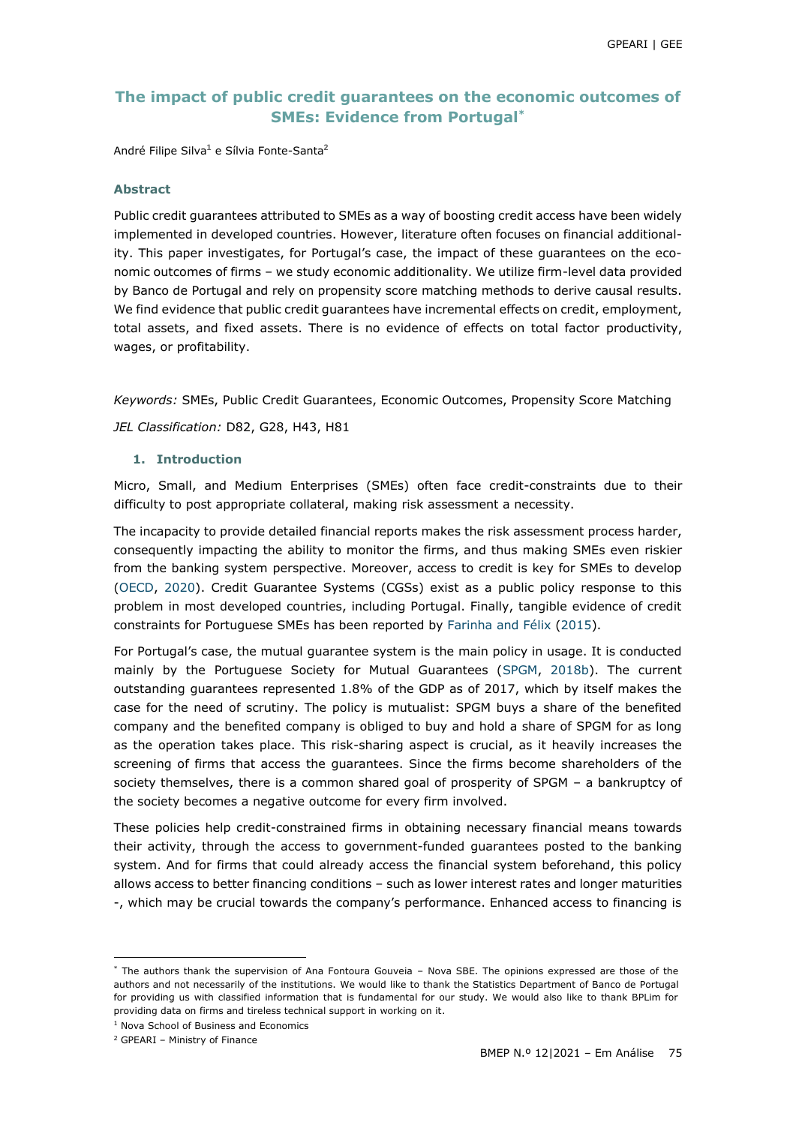# **The impact of public credit guarantees on the economic outcomes of SMEs: Evidence from Portugal\***

André Filipe Silva**<sup>1</sup>** e Sílvia Fonte-Santa**<sup>2</sup>**

#### **Abstract**

Public credit guarantees attributed to SMEs as a way of boosting credit access have been widely implemented in developed countries. However, literature often focuses on financial additionality. This paper investigates, for Portugal's case, the impact of these guarantees on the economic outcomes of firms – we study economic additionality. We utilize firm-level data provided by Banco de Portugal and rely on propensity score matching methods to derive causal results. We find evidence that public credit guarantees have incremental effects on credit, employment, total assets, and fixed assets. There is no evidence of effects on total factor productivity, wages, or profitability.

*Keywords:* SMEs, Public Credit Guarantees, Economic Outcomes, Propensity Score Matching *JEL Classification:* D82, G28, H43, H81

### **1. Introduction**

Micro, Small, and Medium Enterprises (SMEs) often face credit-constraints due to their difficulty to post appropriate collateral, making risk assessment a necessity.

The incapacity to provide detailed financial reports makes the risk assessment process harder, consequently impacting the ability to monitor the firms, and thus making SMEs even riskier from the banking system perspective. Moreover, access to credit is key for SMEs to develop [\(OECD, 2020\)](#page-13-0). Credit Guarantee Systems (CGSs) exist as a public policy response to this problem in most developed countries, including Portugal. Finally, tangible evidence of credit constraints for Portuguese SMEs has been reported by [Farinha and Félix \(2015\)](#page-13-1).

For Portugal's case, the mutual guarantee system is the main policy in usage. It is conducted mainly by the Portuguese Society for Mutual Guarantees [\(SPGM,](#page-14-0) [2018b\)](#page-14-0). The current outstanding guarantees represented 1.8% of the GDP as of 2017, which by itself makes the case for the need of scrutiny. The policy is mutualist: SPGM buys a share of the benefited company and the benefited company is obliged to buy and hold a share of SPGM for as long as the operation takes place. This risk-sharing aspect is crucial, as it heavily increases the screening of firms that access the guarantees. Since the firms become shareholders of the society themselves, there is a common shared goal of prosperity of SPGM – a bankruptcy of the society becomes a negative outcome for every firm involved.

These policies help credit-constrained firms in obtaining necessary financial means towards their activity, through the access to government-funded guarantees posted to the banking system. And for firms that could already access the financial system beforehand, this policy allows access to better financing conditions – such as lower interest rates and longer maturities -, which may be crucial towards the company's performance. Enhanced access to financing is

 $\overline{a}$ 

<sup>\*</sup> The authors thank the supervision of Ana Fontoura Gouveia – Nova SBE. The opinions expressed are those of the authors and not necessarily of the institutions. We would like to thank the Statistics Department of Banco de Portugal for providing us with classified information that is fundamental for our study. We would also like to thank BPLim for providing data on firms and tireless technical support in working on it.

<sup>1</sup> Nova School of Business and Economics

<sup>2</sup> GPEARI – Ministry of Finance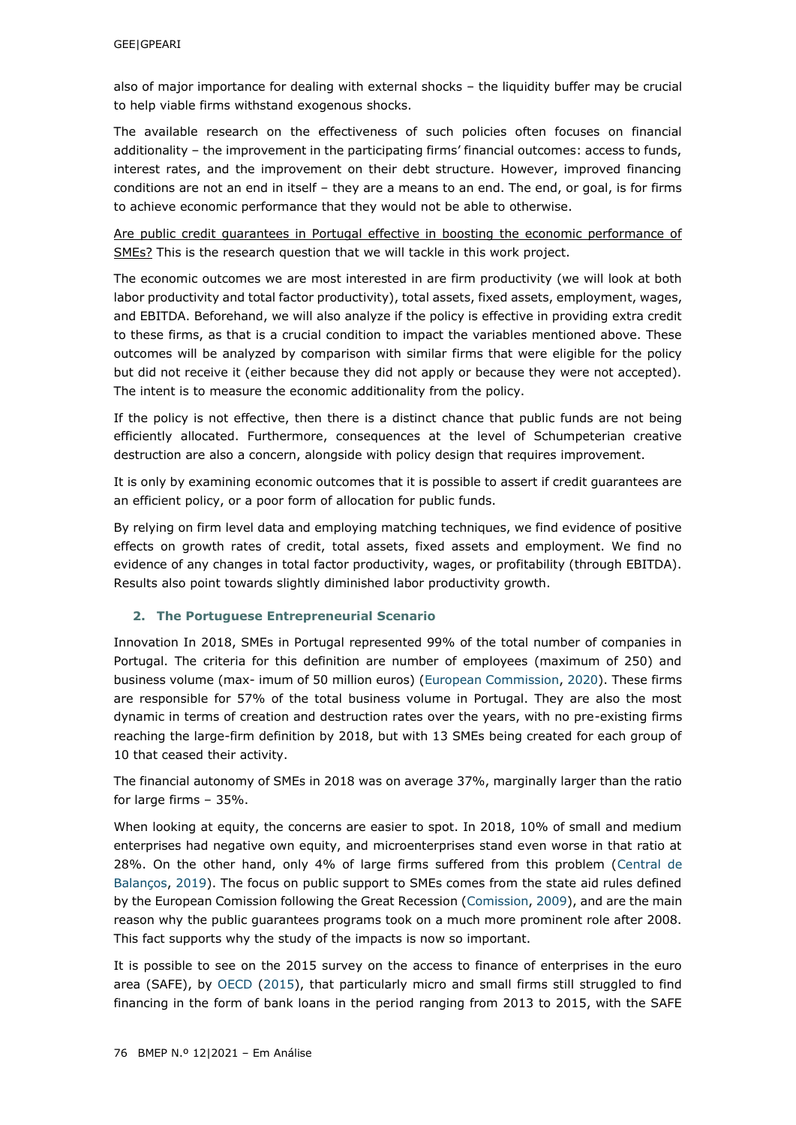also of major importance for dealing with external shocks – the liquidity buffer may be crucial to help viable firms withstand exogenous shocks.

The available research on the effectiveness of such policies often focuses on financial additionality – the improvement in the participating firms' financial outcomes: access to funds, interest rates, and the improvement on their debt structure. However, improved financing conditions are not an end in itself – they are a means to an end. The end, or goal, is for firms to achieve economic performance that they would not be able to otherwise.

Are public credit guarantees in Portugal effective in boosting the economic performance of SMEs? This is the research question that we will tackle in this work project.

The economic outcomes we are most interested in are firm productivity (we will look at both labor productivity and total factor productivity), total assets, fixed assets, employment, wages, and EBITDA. Beforehand, we will also analyze if the policy is effective in providing extra credit to these firms, as that is a crucial condition to impact the variables mentioned above. These outcomes will be analyzed by comparison with similar firms that were eligible for the policy but did not receive it (either because they did not apply or because they were not accepted). The intent is to measure the economic additionality from the policy.

If the policy is not effective, then there is a distinct chance that public funds are not being efficiently allocated. Furthermore, consequences at the level of Schumpeterian creative destruction are also a concern, alongside with policy design that requires improvement.

It is only by examining economic outcomes that it is possible to assert if credit guarantees are an efficient policy, or a poor form of allocation for public funds.

By relying on firm level data and employing matching techniques, we find evidence of positive effects on growth rates of credit, total assets, fixed assets and employment. We find no evidence of any changes in total factor productivity, wages, or profitability (through EBITDA). Results also point towards slightly diminished labor productivity growth.

### **2. The Portuguese Entrepreneurial Scenario**

Innovation In 2018, SMEs in Portugal represented 99% of the total number of companies in Portugal. The criteria for this definition are number of employees (maximum of 250) and business volume (max- imum of 50 million euros) [\(European Commission, 2020\)](#page-13-2). These firms are responsible for 57% of the total business volume in Portugal. They are also the most dynamic in terms of creation and destruction rates over the years, with no pre-existing firms reaching the large-firm definition by 2018, but with 13 SMEs being created for each group of 10 that ceased their activity.

The financial autonomy of SMEs in 2018 was on average 37%, marginally larger than the ratio for large firms – 35%.

When looking at equity, the concerns are easier to spot. In 2018, 10% of small and medium enterprises had negative own equity, and microenterprises stand even worse in that ratio at 28%. On the other hand, only 4% of large firms suffered from this problem [\(Central de](#page-12-0)  [Balanços, 2019\)](#page-12-0). The focus on public support to SMEs comes from the state aid rules defined by the European Comission following the Great Recession [\(Comission, 2009\)](#page-12-1), and are the main reason why the public guarantees programs took on a much more prominent role after 2008. This fact supports why the study of the impacts is now so important.

It is possible to see on the 2015 survey on the access to finance of enterprises in the euro area (SAFE), by [OECD \(2015\)](#page-13-3), that particularly micro and small firms still struggled to find financing in the form of bank loans in the period ranging from 2013 to 2015, with the SAFE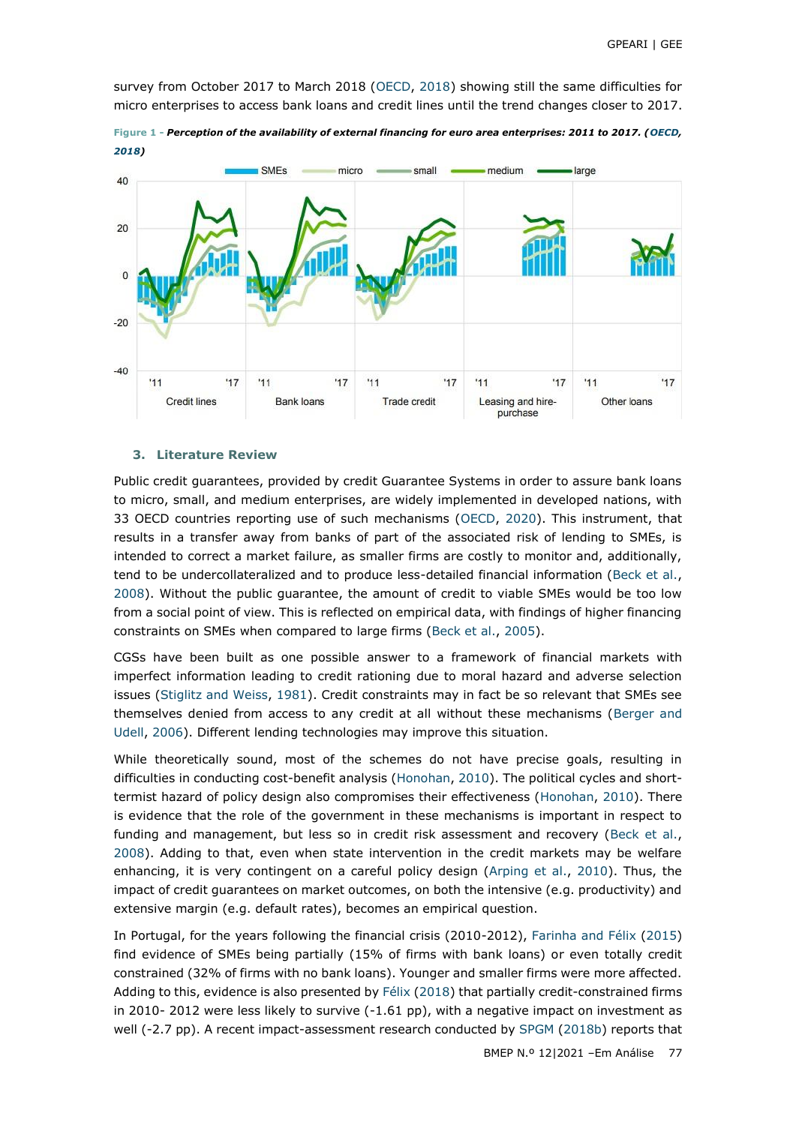survey from October 2017 to March 2018 [\(OECD, 2018\)](#page-13-4) showing still the same difficulties for micro enterprises to access bank loans and credit lines until the trend changes closer to 2017.



**Figure 1 -** *Perception of the availability of external financing for euro area enterprises: 2011 to 2017. [\(OECD,](#page-13-4)* 

#### **3. Literature Review**

Public credit guarantees, provided by credit Guarantee Systems in order to assure bank loans to micro, small, and medium enterprises, are widely implemented in developed nations, with 33 OECD countries reporting use of such mechanisms [\(OECD, 2020\)](#page-13-0). This instrument, that results in a transfer away from banks of part of the associated risk of lending to SMEs, is intended to correct a market failure, as smaller firms are costly to monitor and, additionally, tend to be undercollateralized and to produce less-detailed financial information [\(Beck et al.,](#page-12-2) [2008\)](#page-12-2). Without the public guarantee, the amount of credit to viable SMEs would be too low from a social point of view. This is reflected on empirical data, with findings of higher financing constraints on SMEs when compared to large firms [\(Beck et al., 2005\)](#page-12-3).

CGSs have been built as one possible answer to a framework of financial markets with imperfect information leading to credit rationing due to moral hazard and adverse selection issues [\(Stiglitz and Weiss, 1981\)](#page-14-1). Credit constraints may in fact be so relevant that SMEs see themselves denied from access to any credit at all without these mechanisms [\(Berger and](#page-12-4)  [Udell, 2006\)](#page-12-4). Different lending technologies may improve this situation.

While theoretically sound, most of the schemes do not have precise goals, resulting in difficulties in conducting cost-benefit analysis [\(Honohan, 2010\)](#page-13-5). The political cycles and shorttermist hazard of policy design also compromises their effectiveness [\(Honohan, 2010\)](#page-13-5). There is evidence that the role of the government in these mechanisms is important in respect to funding and management, but less so in credit risk assessment and recovery [\(Beck et al.,](#page-12-2) [2008\)](#page-12-2). Adding to that, even when state intervention in the credit markets may be welfare enhancing, it is very contingent on a careful policy design [\(Arping et al., 2010\)](#page-12-5). Thus, the impact of credit guarantees on market outcomes, on both the intensive (e.g. productivity) and extensive margin (e.g. default rates), becomes an empirical question.

In Portugal, for the years following the financial crisis (2010-2012), [Farinha and Félix \(2015\)](#page-13-1) find evidence of SMEs being partially (15% of firms with bank loans) or even totally credit constrained (32% of firms with no bank loans). Younger and smaller firms were more affected. Adding to this, evidence is also presented by [Félix \(2018\)](#page-13-6) that partially credit-constrained firms in 2010- 2012 were less likely to survive  $(-1.61$  pp), with a negative impact on investment as well (-2.7 pp). A recent impact-assessment research conducted by [SPGM \(2018b\)](#page-14-0) reports that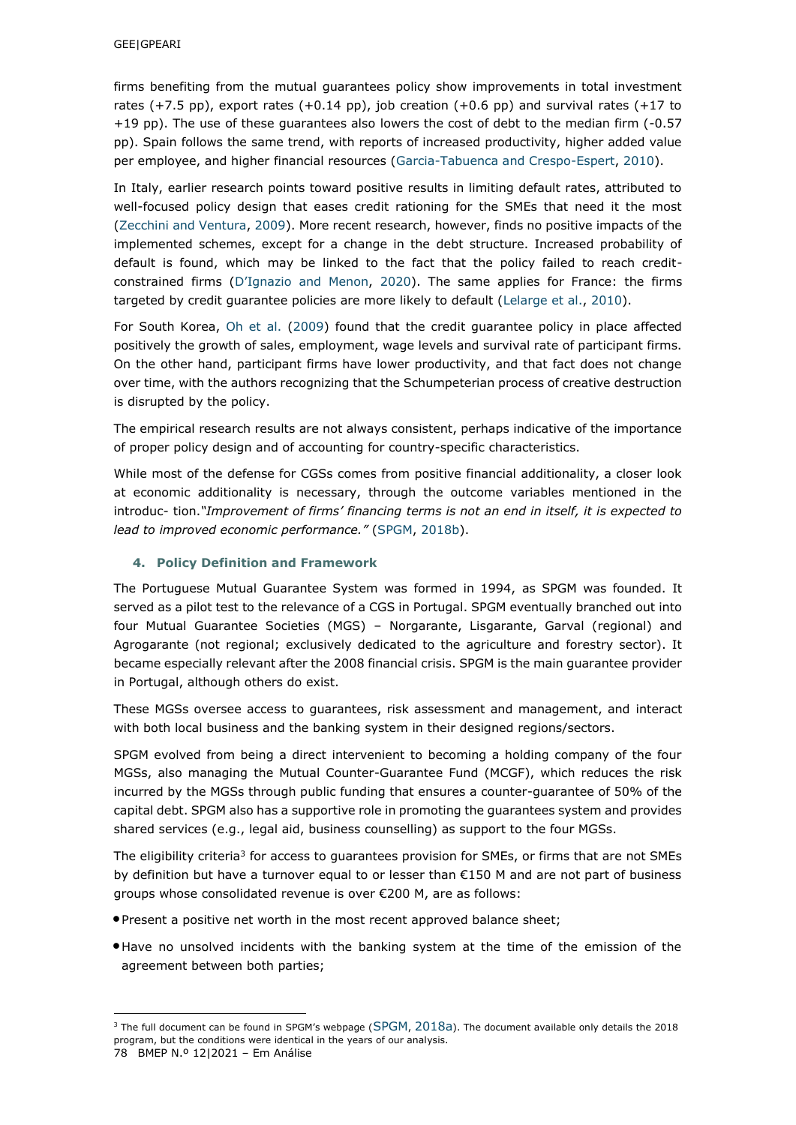firms benefiting from the mutual guarantees policy show improvements in total investment rates  $(+7.5 \text{ pp})$ , export rates  $(+0.14 \text{ pp})$ , job creation  $(+0.6 \text{ pp})$  and survival rates  $(+17 \text{ to}$ +19 pp). The use of these guarantees also lowers the cost of debt to the median firm (-0.57 pp). Spain follows the same trend, with reports of increased productivity, higher added value per employee, and higher financial resources [\(Garcia-Tabuenca and Crespo-Espert, 2010\)](#page-13-7).

In Italy, earlier research points toward positive results in limiting default rates, attributed to well-focused policy design that eases credit rationing for the SMEs that need it the most [\(Zecchini](#page-14-2) [and Ventura, 2009\)](#page-14-2). More recent research, however, finds no positive impacts of the implemented schemes, except for a change in the debt structure. Increased probability of default is found, which may be linked to the fact that the policy failed to reach creditconstrained firms ([D'Ignazio and](#page-13-8) [Menon, 2020\)](#page-13-8). The same applies for France: the firms targeted by credit guarantee policies are more likely to default [\(Lelarge et al., 2010\)](#page-13-9).

For South Korea, [Oh et al. \(2009\)](#page-13-10) found that the credit guarantee policy in place affected positively the growth of sales, employment, wage levels and survival rate of participant firms. On the other hand, participant firms have lower productivity, and that fact does not change over time, with the authors recognizing that the Schumpeterian process of creative destruction is disrupted by the policy.

The empirical research results are not always consistent, perhaps indicative of the importance of proper policy design and of accounting for country-specific characteristics.

While most of the defense for CGSs comes from positive financial additionality, a closer look at economic additionality is necessary, through the outcome variables mentioned in the introduc- tion.*"Improvement of firms' financing terms is not an end in itself, it is expected to lead to improved economic performance."* [\(SPGM, 2018b\)](#page-14-0).

## **4. Policy Definition and Framework**

The Portuguese Mutual Guarantee System was formed in 1994, as SPGM was founded. It served as a pilot test to the relevance of a CGS in Portugal. SPGM eventually branched out into four Mutual Guarantee Societies (MGS) – Norgarante, Lisgarante, Garval (regional) and Agrogarante (not regional; exclusively dedicated to the agriculture and forestry sector). It became especially relevant after the 2008 financial crisis. SPGM is the main guarantee provider in Portugal, although others do exist.

These MGSs oversee access to guarantees, risk assessment and management, and interact with both local business and the banking system in their designed regions/sectors.

SPGM evolved from being a direct intervenient to becoming a holding company of the four MGSs, also managing the Mutual Counter-Guarantee Fund (MCGF), which reduces the risk incurred by the MGSs through public funding that ensures a counter-guarantee of 50% of the capital debt. SPGM also has a supportive role in promoting the guarantees system and provides shared services (e.g., legal aid, business counselling) as support to the four MGSs.

The eligibility criteria<sup>3</sup> for access to guarantees provision for SMEs, or firms that are not SMEs by definition but have a turnover equal to or lesser than €150 M and are not part of business groups whose consolidated revenue is over €200 M, are as follows:

- •Present a positive net worth in the most recent approved balance sheet;
- •Have no unsolved incidents with the banking system at the time of the emission of the agreement between both parties;

 $\overline{a}$ 

<sup>&</sup>lt;sup>3</sup> The full document can be found in [SPGM](#page-14-3)'s webpage (SPGM, [2018a](#page-14-3)). The document available only details the 2018 program, but the conditions were identical in the years of our analysis.

<sup>78</sup> BMEP N.º 12|2021 – Em Análise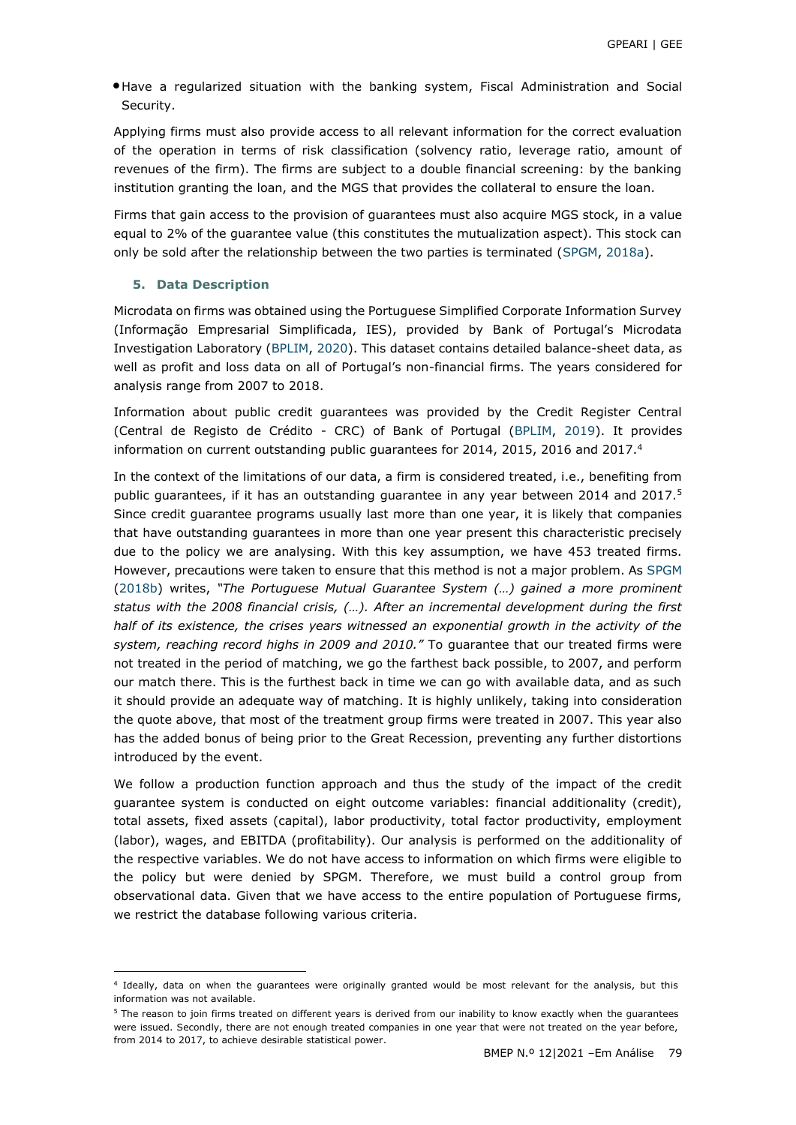•Have a regularized situation with the banking system, Fiscal Administration and Social Security.

Applying firms must also provide access to all relevant information for the correct evaluation of the operation in terms of risk classification (solvency ratio, leverage ratio, amount of revenues of the firm). The firms are subject to a double financial screening: by the banking institution granting the loan, and the MGS that provides the collateral to ensure the loan.

Firms that gain access to the provision of guarantees must also acquire MGS stock, in a value equal to 2% of the guarantee value (this constitutes the mutualization aspect). This stock can only be sold after the relationship between the two parties is terminated [\(SPGM, 2018a\)](#page-14-3).

### **5. Data Description**

-

Microdata on firms was obtained using the Portuguese Simplified Corporate Information Survey (Informação Empresarial Simplificada, IES), provided by Bank of Portugal's Microdata Investigation Laboratory [\(BPLIM, 2020\)](#page-12-6). This dataset contains detailed balance-sheet data, as well as profit and loss data on all of Portugal's non-financial firms. The years considered for analysis range from 2007 to 2018.

Information about public credit guarantees was provided by the Credit Register Central (Central de Registo de Crédito - CRC) of Bank of Portugal [\(BPLIM,](#page-12-7) [2019\)](#page-12-7). It provides information on current outstanding public guarantees for 2014, 2015, 2016 and 2017.<sup>4</sup>

In the context of the limitations of our data, a firm is considered treated, i.e., benefiting from public guarantees, if it has an outstanding guarantee in any year between 2014 and 2017.<sup>5</sup> Since credit guarantee programs usually last more than one year, it is likely that companies that have outstanding guarantees in more than one year present this characteristic precisely due to the policy we are analysing. With this key assumption, we have 453 treated firms. However, precautions were taken to ensure that this method is not a major problem. As [SPGM](#page-14-0)  [\(2018b\)](#page-14-0) writes, *"The Portuguese Mutual Guarantee System (…) gained a more prominent status with the 2008 financial crisis, (…). After an incremental development during the first half of its existence, the crises years witnessed an exponential growth in the activity of the system, reaching record highs in 2009 and 2010."* To guarantee that our treated firms were not treated in the period of matching, we go the farthest back possible, to 2007, and perform our match there. This is the furthest back in time we can go with available data, and as such it should provide an adequate way of matching. It is highly unlikely, taking into consideration the quote above, that most of the treatment group firms were treated in 2007. This year also has the added bonus of being prior to the Great Recession, preventing any further distortions introduced by the event.

We follow a production function approach and thus the study of the impact of the credit guarantee system is conducted on eight outcome variables: financial additionality (credit), total assets, fixed assets (capital), labor productivity, total factor productivity, employment (labor), wages, and EBITDA (profitability). Our analysis is performed on the additionality of the respective variables. We do not have access to information on which firms were eligible to the policy but were denied by SPGM. Therefore, we must build a control group from observational data. Given that we have access to the entire population of Portuguese firms, we restrict the database following various criteria.

<sup>4</sup> Ideally, data on when the guarantees were originally granted would be most relevant for the analysis, but this information was not available.

<sup>&</sup>lt;sup>5</sup> The reason to join firms treated on different years is derived from our inability to know exactly when the quarantees were issued. Secondly, there are not enough treated companies in one year that were not treated on the year before, from 2014 to 2017, to achieve desirable statistical power.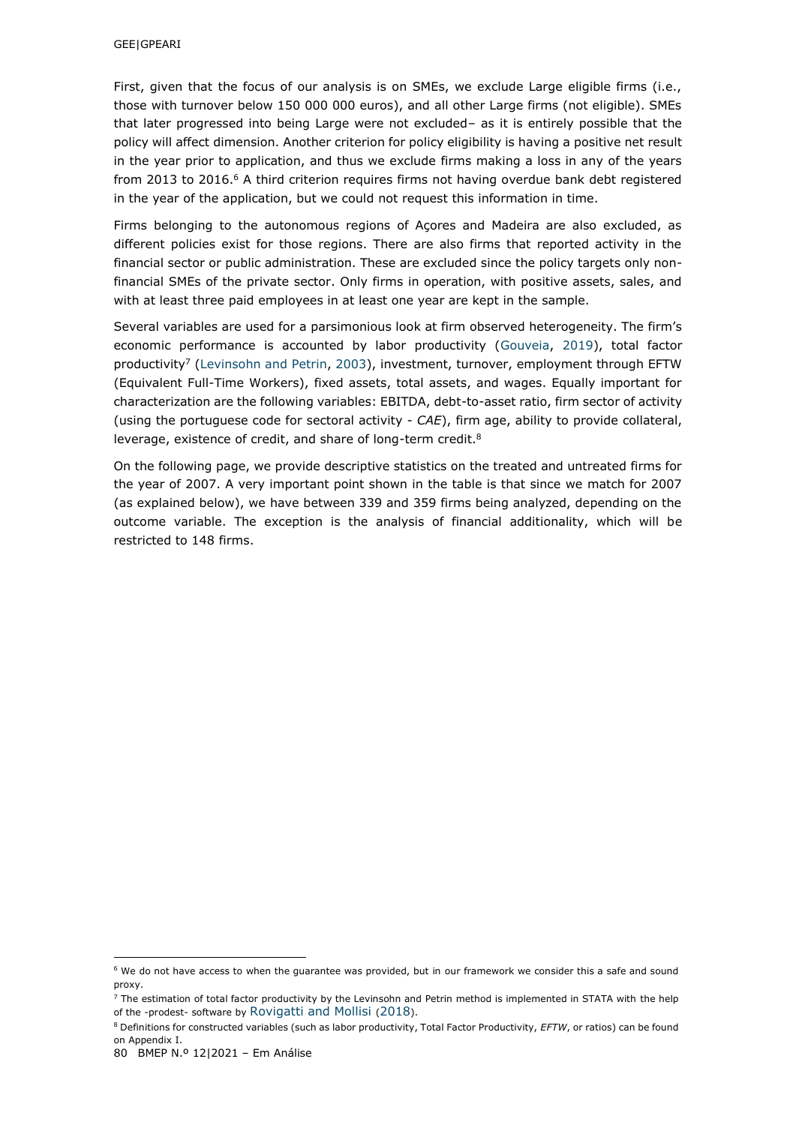First, given that the focus of our analysis is on SMEs, we exclude Large eligible firms (i.e., those with turnover below 150 000 000 euros), and all other Large firms (not eligible). SMEs that later progressed into being Large were not excluded– as it is entirely possible that the policy will affect dimension. Another criterion for policy eligibility is having a positive net result in the year prior to application, and thus we exclude firms making a loss in any of the years from 2013 to 2016.<sup>6</sup> A third criterion requires firms not having overdue bank debt registered in the year of the application, but we could not request this information in time.

Firms belonging to the autonomous regions of Açores and Madeira are also excluded, as different policies exist for those regions. There are also firms that reported activity in the financial sector or public administration. These are excluded since the policy targets only nonfinancial SMEs of the private sector. Only firms in operation, with positive assets, sales, and with at least three paid employees in at least one year are kept in the sample.

Several variables are used for a parsimonious look at firm observed heterogeneity. The firm's economic performance is accounted by labor productivity [\(Gouveia,](#page-13-11) [2019\)](#page-13-11), total factor productivity<sup>7</sup> [\(Levinsohn and Petrin, 2003\)](#page-13-12), investment, turnover, employment through EFTW (Equivalent Full-Time Workers), fixed assets, total assets, and wages. Equally important for characterization are the following variables: EBITDA, debt-to-asset ratio, firm sector of activity (using the portuguese code for sectoral activity - *CAE*), firm age, ability to provide collateral, leverage, existence of credit, and share of long-term credit.<sup>8</sup>

On the following page, we provide descriptive statistics on the treated and untreated firms for the year of 2007. A very important point shown in the table is that since we match for 2007 (as explained below), we have between 339 and 359 firms being analyzed, depending on the outcome variable. The exception is the analysis of financial additionality, which will be restricted to 148 firms.

 $\overline{a}$ 

<sup>6</sup> We do not have access to when the guarantee was provided, but in our framework we consider this a safe and sound proxy.

 $7$  The estimation of total factor productivity by the Levinsohn and Petrin method is implemented in STATA with the help of the -prodest- software by [Rovigatti and Mollisi](#page-13-13) ([2018](#page-13-13)).

<sup>8</sup> Definitions for constructed variables (such as labor productivity, Total Factor Productivity, *EFTW*, or ratios) can be found on Appendix I.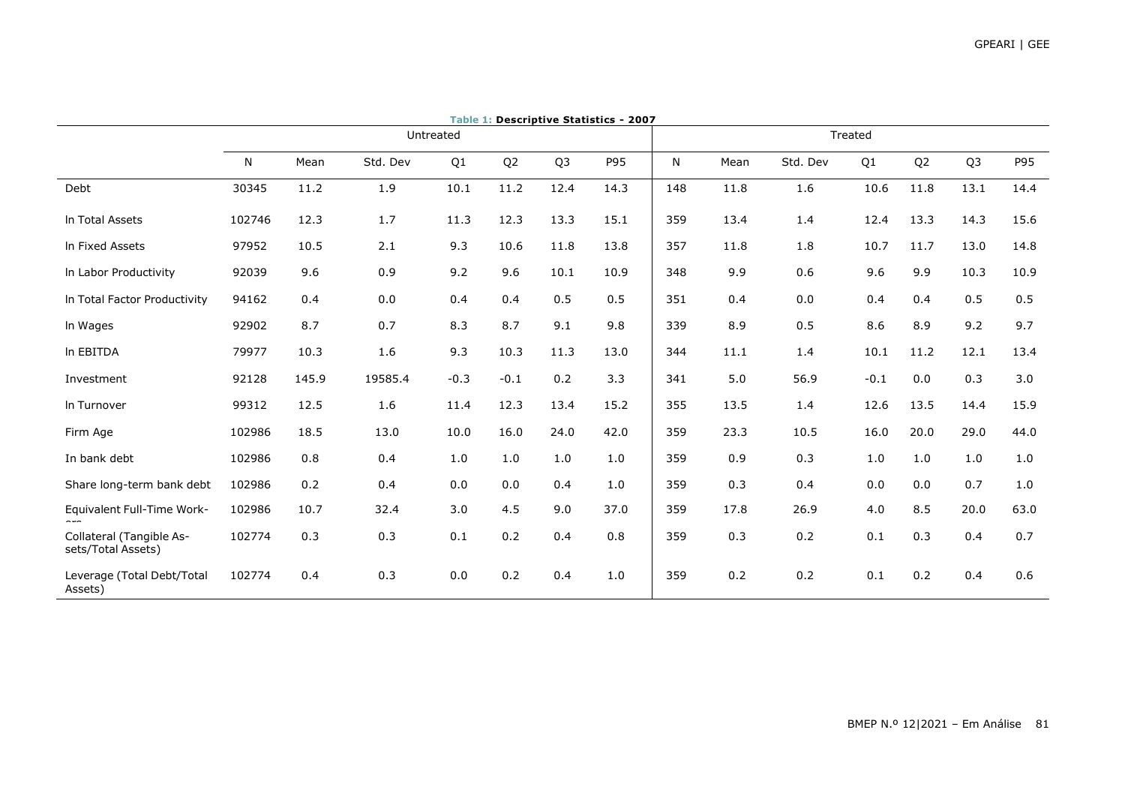|                                                | Table 1: Descriptive Statistics - 2007 |           |          |        |                |                |      |     |      |          |        |                |                |      |
|------------------------------------------------|----------------------------------------|-----------|----------|--------|----------------|----------------|------|-----|------|----------|--------|----------------|----------------|------|
|                                                |                                        | Untreated |          |        |                |                |      |     |      | Treated  |        |                |                |      |
|                                                | N                                      | Mean      | Std. Dev | Q1     | Q <sub>2</sub> | Q <sub>3</sub> | P95  | N   | Mean | Std. Dev | Q1     | Q <sub>2</sub> | Q <sub>3</sub> | P95  |
| Debt                                           | 30345                                  | 11.2      | 1.9      | 10.1   | 11.2           | 12.4           | 14.3 | 148 | 11.8 | 1.6      | 10.6   | 11.8           | 13.1           | 14.4 |
| In Total Assets                                | 102746                                 | 12.3      | 1.7      | 11.3   | 12.3           | 13.3           | 15.1 | 359 | 13.4 | 1.4      | 12.4   | 13.3           | 14.3           | 15.6 |
| In Fixed Assets                                | 97952                                  | 10.5      | 2.1      | 9.3    | 10.6           | 11.8           | 13.8 | 357 | 11.8 | 1.8      | 10.7   | 11.7           | 13.0           | 14.8 |
| In Labor Productivity                          | 92039                                  | 9.6       | 0.9      | 9.2    | 9.6            | 10.1           | 10.9 | 348 | 9.9  | 0.6      | 9.6    | 9.9            | 10.3           | 10.9 |
| In Total Factor Productivity                   | 94162                                  | 0.4       | 0.0      | 0.4    | 0.4            | 0.5            | 0.5  | 351 | 0.4  | 0.0      | 0.4    | 0.4            | 0.5            | 0.5  |
| In Wages                                       | 92902                                  | 8.7       | 0.7      | 8.3    | 8.7            | 9.1            | 9.8  | 339 | 8.9  | 0.5      | 8.6    | 8.9            | 9.2            | 9.7  |
| In EBITDA                                      | 79977                                  | 10.3      | 1.6      | 9.3    | 10.3           | 11.3           | 13.0 | 344 | 11.1 | 1.4      | 10.1   | 11.2           | 12.1           | 13.4 |
| Investment                                     | 92128                                  | 145.9     | 19585.4  | $-0.3$ | $-0.1$         | 0.2            | 3.3  | 341 | 5.0  | 56.9     | $-0.1$ | 0.0            | 0.3            | 3.0  |
| In Turnover                                    | 99312                                  | 12.5      | 1.6      | 11.4   | 12.3           | 13.4           | 15.2 | 355 | 13.5 | 1.4      | 12.6   | 13.5           | 14.4           | 15.9 |
| Firm Age                                       | 102986                                 | 18.5      | 13.0     | 10.0   | 16.0           | 24.0           | 42.0 | 359 | 23.3 | 10.5     | 16.0   | 20.0           | 29.0           | 44.0 |
| In bank debt                                   | 102986                                 | 0.8       | 0.4      | 1.0    | 1.0            | 1.0            | 1.0  | 359 | 0.9  | 0.3      | 1.0    | 1.0            | 1.0            | 1.0  |
| Share long-term bank debt                      | 102986                                 | 0.2       | 0.4      | 0.0    | 0.0            | 0.4            | 1.0  | 359 | 0.3  | 0.4      | 0.0    | 0.0            | 0.7            | 1.0  |
| Equivalent Full-Time Work-                     | 102986                                 | 10.7      | 32.4     | 3.0    | 4.5            | 9.0            | 37.0 | 359 | 17.8 | 26.9     | 4.0    | 8.5            | 20.0           | 63.0 |
| Collateral (Tangible As-<br>sets/Total Assets) | 102774                                 | 0.3       | 0.3      | 0.1    | 0.2            | 0.4            | 0.8  | 359 | 0.3  | 0.2      | 0.1    | 0.3            | 0.4            | 0.7  |
| Leverage (Total Debt/Total<br>Assets)          | 102774                                 | 0.4       | 0.3      | 0.0    | 0.2            | 0.4            | 1.0  | 359 | 0.2  | 0.2      | 0.1    | 0.2            | 0.4            | 0.6  |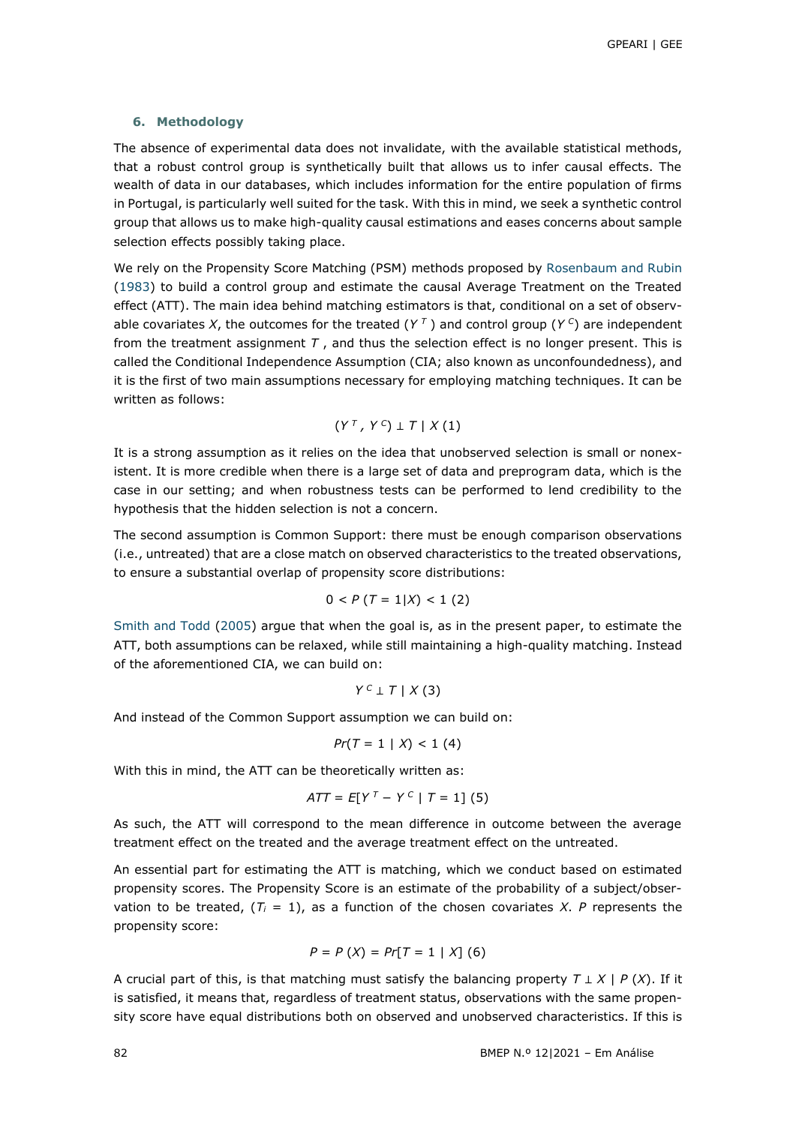### **6. Methodology**

The absence of experimental data does not invalidate, with the available statistical methods, that a robust control group is synthetically built that allows us to infer causal effects. The wealth of data in our databases, which includes information for the entire population of firms in Portugal, is particularly well suited for the task. With this in mind, we seek a synthetic control group that allows us to make high-quality causal estimations and eases concerns about sample selection effects possibly taking place.

We rely on the Propensity Score Matching (PSM) methods proposed by [Rosenbaum and Rubin](#page-13-14) [\(1983\)](#page-13-14) to build a control group and estimate the causal Average Treatment on the Treated effect (ATT). The main idea behind matching estimators is that, conditional on a set of observable covariates *X*, the outcomes for the treated  $(Y^T)$  and control group  $(Y^C)$  are independent from the treatment assignment *T* , and thus the selection effect is no longer present. This is called the Conditional Independence Assumption (CIA; also known as unconfoundedness), and it is the first of two main assumptions necessary for employing matching techniques. It can be written as follows:

$$
(Y^T, Y^C) \perp T \mid X(1)
$$

It is a strong assumption as it relies on the idea that unobserved selection is small or nonexistent. It is more credible when there is a large set of data and preprogram data, which is the case in our setting; and when robustness tests can be performed to lend credibility to the hypothesis that the hidden selection is not a concern.

The second assumption is Common Support: there must be enough comparison observations (i.e., untreated) that are a close match on observed characteristics to the treated observations, to ensure a substantial overlap of propensity score distributions:

$$
0 < P \, (T = 1 | X) < 1 \, (2)
$$

[Smith and Todd \(2005\)](#page-14-4) argue that when the goal is, as in the present paper, to estimate the ATT, both assumptions can be relaxed, while still maintaining a high-quality matching. Instead of the aforementioned CIA, we can build on:

$$
Y^c \perp T \mid X(3)
$$

And instead of the Common Support assumption we can build on:

$$
Pr(T = 1 | X) < 1 (4)
$$

With this in mind, the ATT can be theoretically written as:

$$
ATT = E[Y^{T} - Y^{C} | T = 1]
$$
 (5)

As such, the ATT will correspond to the mean difference in outcome between the average treatment effect on the treated and the average treatment effect on the untreated.

An essential part for estimating the ATT is matching, which we conduct based on estimated propensity scores. The Propensity Score is an estimate of the probability of a subject/observation to be treated,  $(T_i = 1)$ , as a function of the chosen covariates *X*. P represents the propensity score:

$$
P = P(X) = Pr[T = 1 | X] (6)
$$

A crucial part of this, is that matching must satisfy the balancing property *T* ⊥ *X* | *P* (*X*). If it is satisfied, it means that, regardless of treatment status, observations with the same propensity score have equal distributions both on observed and unobserved characteristics. If this is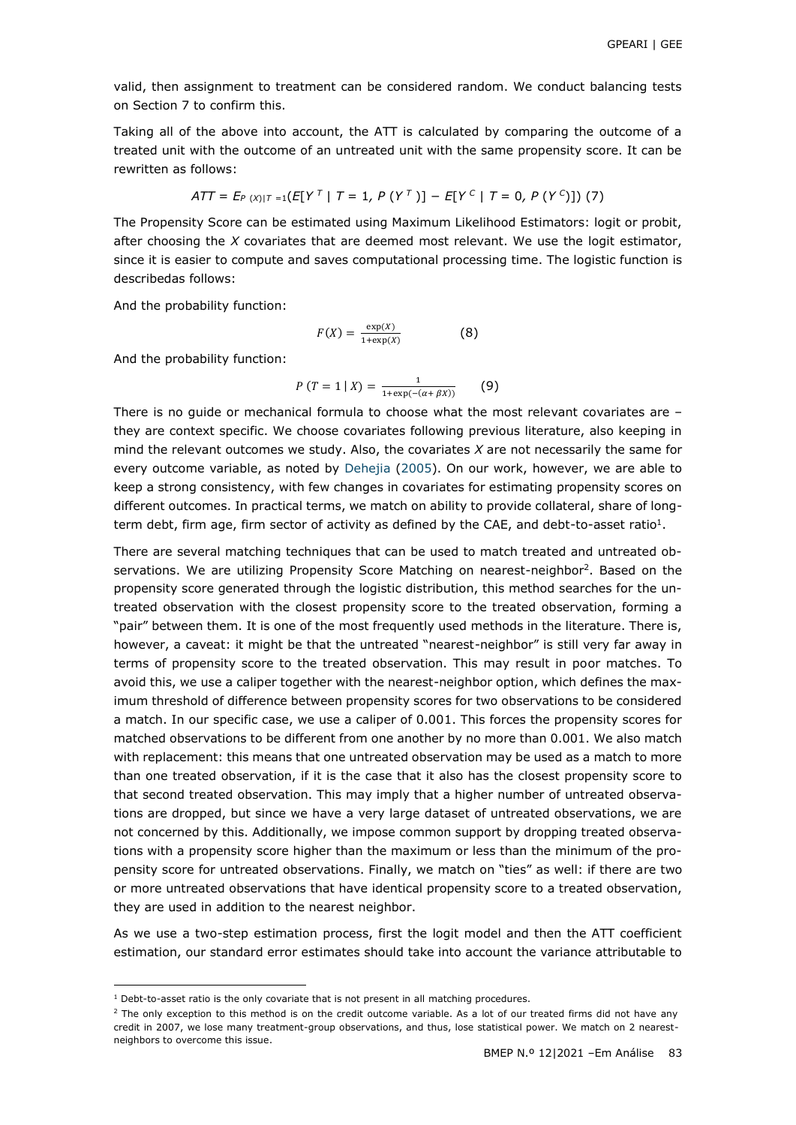valid, then assignment to treatment can be considered random. We conduct balancing tests on Section 7 to confirm this.

Taking all of the above into account, the ATT is calculated by comparing the outcome of a treated unit with the outcome of an untreated unit with the same propensity score. It can be rewritten as follows:

$$
ATT = E_{P(X)|T=1}(E[Y^T | T=1, P(Y^T)] - E[Y^C | T=0, P(Y^C)]) (7)
$$

The Propensity Score can be estimated using Maximum Likelihood Estimators: logit or probit, after choosing the *X* covariates that are deemed most relevant. We use the logit estimator, since it is easier to compute and saves computational processing time. The logistic function is describedas follows:

And the probability function:

$$
F(X) = \frac{\exp(X)}{1 + \exp(X)}\tag{8}
$$

And the probability function:

$$
P(T = 1 | X) = \frac{1}{1 + \exp(-(\alpha + \beta X))}
$$
 (9)

There is no guide or mechanical formula to choose what the most relevant covariates are – they are context specific. We choose covariates following previous literature, also keeping in mind the relevant outcomes we study. Also, the covariates *X* are not necessarily the same for every outcome variable, as noted by [Dehejia \(2005\)](#page-13-15). On our work, however, we are able to keep a strong consistency, with few changes in covariates for estimating propensity scores on different outcomes. In practical terms, we match on ability to provide collateral, share of longterm debt, firm age, firm sector of activity as defined by the CAE, and debt-to-asset ratio<sup>1</sup>.

There are several matching techniques that can be used to match treated and untreated observations. We are utilizing Propensity Score Matching on nearest-neighbor<sup>2</sup>. Based on the propensity score generated through the logistic distribution, this method searches for the untreated observation with the closest propensity score to the treated observation, forming a "pair" between them. It is one of the most frequently used methods in the literature. There is, however, a caveat: it might be that the untreated "nearest-neighbor" is still very far away in terms of propensity score to the treated observation. This may result in poor matches. To avoid this, we use a caliper together with the nearest-neighbor option, which defines the maximum threshold of difference between propensity scores for two observations to be considered a match. In our specific case, we use a caliper of 0.001. This forces the propensity scores for matched observations to be different from one another by no more than 0.001. We also match with replacement: this means that one untreated observation may be used as a match to more than one treated observation, if it is the case that it also has the closest propensity score to that second treated observation. This may imply that a higher number of untreated observations are dropped, but since we have a very large dataset of untreated observations, we are not concerned by this. Additionally, we impose common support by dropping treated observations with a propensity score higher than the maximum or less than the minimum of the propensity score for untreated observations. Finally, we match on "ties" as well: if there are two or more untreated observations that have identical propensity score to a treated observation, they are used in addition to the nearest neighbor.

As we use a two-step estimation process, first the logit model and then the ATT coefficient estimation, our standard error estimates should take into account the variance attributable to

 $\overline{a}$ 

<sup>&</sup>lt;sup>1</sup> Debt-to-asset ratio is the only covariate that is not present in all matching procedures.

<sup>&</sup>lt;sup>2</sup> The only exception to this method is on the credit outcome variable. As a lot of our treated firms did not have any credit in 2007, we lose many treatment-group observations, and thus, lose statistical power. We match on 2 nearestneighbors to overcome this issue.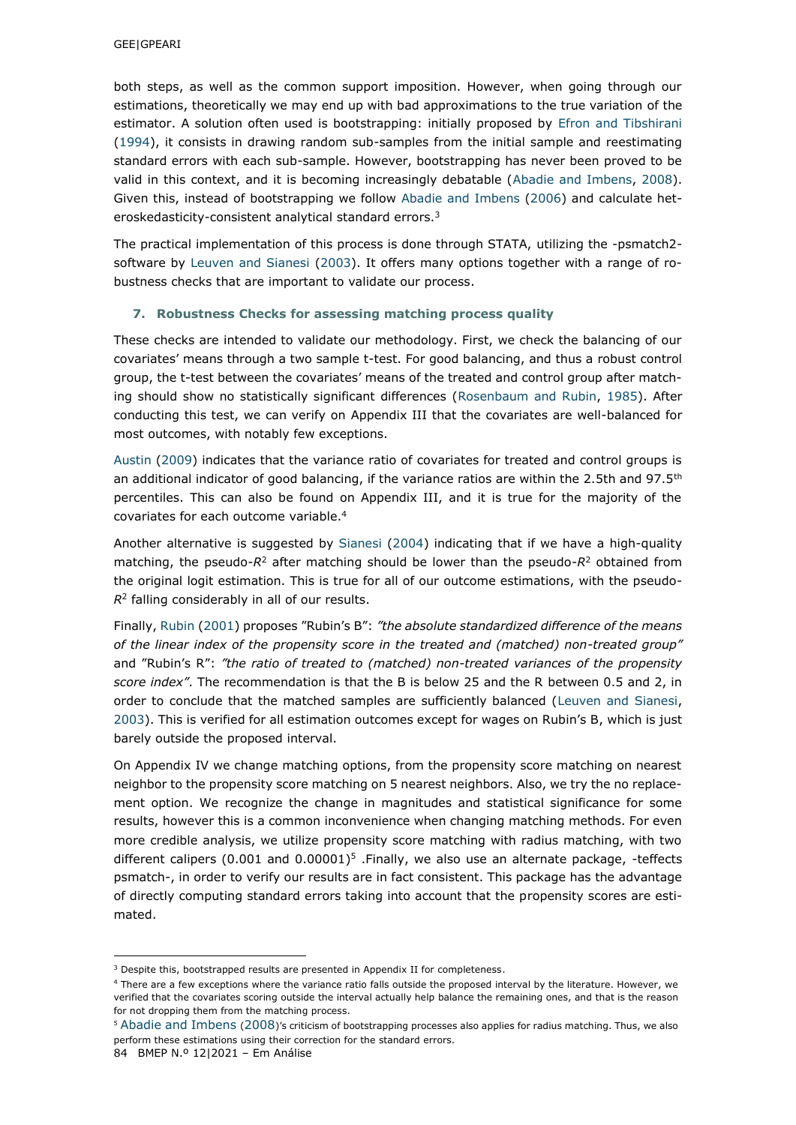both steps, as well as the common support imposition. However, when going through our estimations, theoretically we may end up with bad approximations to the true variation of the estimator. A solution often used is bootstrapping: initially proposed by [Efron and Tibshirani](#page-13-16)  [\(1994\)](#page-13-16), it consists in drawing random sub-samples from the initial sample and reestimating standard errors with each sub-sample. However, bootstrapping has never been proved to be valid in this context, and it is becoming increasingly debatable [\(Abadie and Imbens, 2008\)](#page-12-8). Given this, instead of bootstrapping we follow Abadie and Imbens (2006) and calculate heteroskedasticity-consistent analytical standard errors.<sup>3</sup>

The practical implementation of this process is done through STATA, utilizing the -psmatch2 software by [Leuven and Sianesi \(2003\)](#page-13-17). It offers many options together with a range of robustness checks that are important to validate our process.

### **7. Robustness Checks for assessing matching process quality**

These checks are intended to validate our methodology. First, we check the balancing of our covariates' means through a two sample t-test. For good balancing, and thus a robust control group, the t-test between the covariates' means of the treated and control group after matching should show no statistically significant differences [\(Rosenbaum and Rubin, 1985\)](#page-13-18). After conducting this test, we can verify on Appendix III that the covariates are well-balanced for most outcomes, with notably few exceptions.

[Austin \(2009\)](#page-12-9) indicates that the variance ratio of covariates for treated and control groups is an additional indicator of good balancing, if the variance ratios are within the 2.5th and 97.5<sup>th</sup> percentiles. This can also be found on Appendix III, and it is true for the majority of the covariates for each outcome variable.<sup>4</sup>

Another alternative is suggested by [Sianesi \(2004\)](#page-14-5) indicating that if we have a high-quality matching, the pseudo-*R*<sup>2</sup> after matching should be lower than the pseudo-*R*<sup>2</sup> obtained from the original logit estimation. This is true for all of our outcome estimations, with the pseudo- $R<sup>2</sup>$  falling considerably in all of our results.

Finally, [Rubin \(2001](#page-14-6)) proposes "Rubin's B": *"the absolute standardized difference of the means of the linear index of the propensity score in the treated and (matched) non-treated group"*  and "Rubin's R": *"the ratio of treated to (matched) non-treated variances of the propensity score index"*. The recommendation is that the B is below 25 and the R between 0.5 and 2, in order to conclude that the matched samples are sufficiently balanced [\(Leuven and Sianesi,](#page-13-17) [2003](#page-13-17)). This is verified for all estimation outcomes except for wages on Rubin's B, which is just barely outside the proposed interval.

On Appendix IV we change matching options, from the propensity score matching on nearest neighbor to the propensity score matching on 5 nearest neighbors. Also, we try the no replacement option. We recognize the change in magnitudes and statistical significance for some results, however this is a common inconvenience when changing matching methods. For even more credible analysis, we utilize propensity score matching with radius matching, with two different calipers  $(0.001$  and  $0.00001$ <sup>5</sup>. Finally, we also use an alternate package, -teffects psmatch-, in order to verify our results are in fact consistent. This package has the advantage of directly computing standard errors taking into account that the propensity scores are estimated.

-

<sup>&</sup>lt;sup>3</sup> Despite this, bootstrapped results are presented in Appendix II for completeness.

<sup>4</sup> There are a few exceptions where the variance ratio falls outside the proposed interval by the literature. However, we verified that the covariates scoring outside the interval actually help balance the remaining ones, and that is the reason for not dropping them from the matching process.

<sup>5</sup> [Abadie and Imbens](#page-12-8) ([2008](#page-12-8))'s criticism of bootstrapping processes also applies for radius matching. Thus, we also perform these estimations using their correction for the standard errors.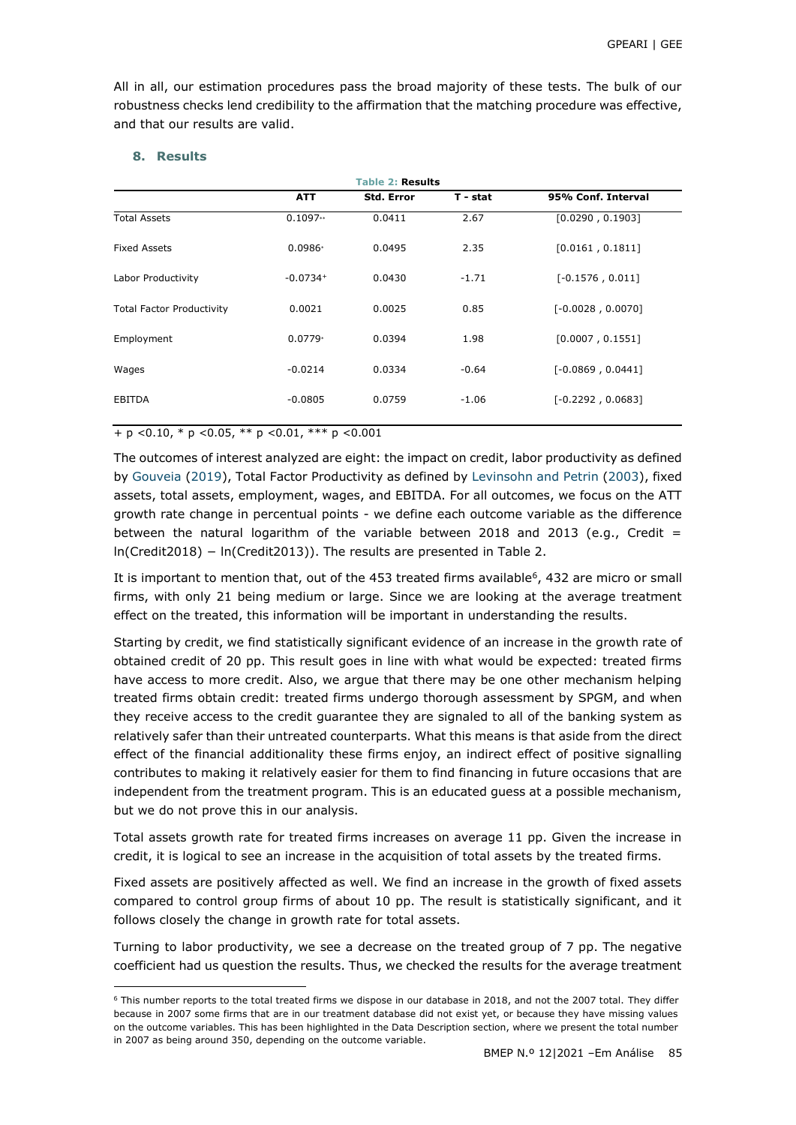All in all, our estimation procedures pass the broad majority of these tests. The bulk of our robustness checks lend credibility to the affirmation that the matching procedure was effective, and that our results are valid.

### **8. Results**

-

|                                  |            | <b>Table 2: Results</b> |          |                     |
|----------------------------------|------------|-------------------------|----------|---------------------|
|                                  | <b>ATT</b> | <b>Std. Error</b>       | T - stat | 95% Conf. Interval  |
| <b>Total Assets</b>              | $0.1097**$ | 0.0411                  | 2.67     | [0.0290, 0.1903]    |
| <b>Fixed Assets</b>              | $0.0986*$  | 0.0495                  | 2.35     | [0.0161, 0.1811]    |
| Labor Productivity               | $-0.0734+$ | 0.0430                  | $-1.71$  | $[-0.1576, 0.011]$  |
| <b>Total Factor Productivity</b> | 0.0021     | 0.0025                  | 0.85     | $[-0.0028, 0.0070]$ |
| Employment                       | $0.0779*$  | 0.0394                  | 1.98     | [0.0007, 0.1551]    |
| Wages                            | $-0.0214$  | 0.0334                  | $-0.64$  | $[-0.0869, 0.0441]$ |
| <b>EBITDA</b>                    | $-0.0805$  | 0.0759                  | $-1.06$  | $[-0.2292, 0.0683]$ |
|                                  |            |                         |          |                     |

+ p *<*0.10, \* p *<*0.05, \*\* p *<*0.01, \*\*\* p *<*0.001

The outcomes of interest analyzed are eight: the impact on credit, labor productivity as defined by [Gouveia \(2019\)](#page-13-11), Total Factor Productivity as defined by [Levinsohn and Petrin \(2003\)](#page-13-12), fixed assets, total assets, employment, wages, and EBITDA. For all outcomes, we focus on the ATT growth rate change in percentual points - we define each outcome variable as the difference between the natural logarithm of the variable between 2018 and 2013 (e.g., Credit  $=$ ln(Credit2018) − ln(Credit2013)). The results are presented in Table 2.

It is important to mention that, out of the 453 treated firms available<sup>6</sup>, 432 are micro or small firms, with only 21 being medium or large. Since we are looking at the average treatment effect on the treated, this information will be important in understanding the results.

Starting by credit, we find statistically significant evidence of an increase in the growth rate of obtained credit of 20 pp. This result goes in line with what would be expected: treated firms have access to more credit. Also, we argue that there may be one other mechanism helping treated firms obtain credit: treated firms undergo thorough assessment by SPGM, and when they receive access to the credit guarantee they are signaled to all of the banking system as relatively safer than their untreated counterparts. What this means is that aside from the direct effect of the financial additionality these firms enjoy, an indirect effect of positive signalling contributes to making it relatively easier for them to find financing in future occasions that are independent from the treatment program. This is an educated guess at a possible mechanism, but we do not prove this in our analysis.

Total assets growth rate for treated firms increases on average 11 pp. Given the increase in credit, it is logical to see an increase in the acquisition of total assets by the treated firms.

Fixed assets are positively affected as well. We find an increase in the growth of fixed assets compared to control group firms of about 10 pp. The result is statistically significant, and it follows closely the change in growth rate for total assets.

Turning to labor productivity, we see a decrease on the treated group of 7 pp. The negative coefficient had us question the results. Thus, we checked the results for the average treatment

<sup>6</sup> This number reports to the total treated firms we dispose in our database in 2018, and not the 2007 total. They differ because in 2007 some firms that are in our treatment database did not exist yet, or because they have missing values on the outcome variables. This has been highlighted in the Data Description section, where we present the total number in 2007 as being around 350, depending on the outcome variable.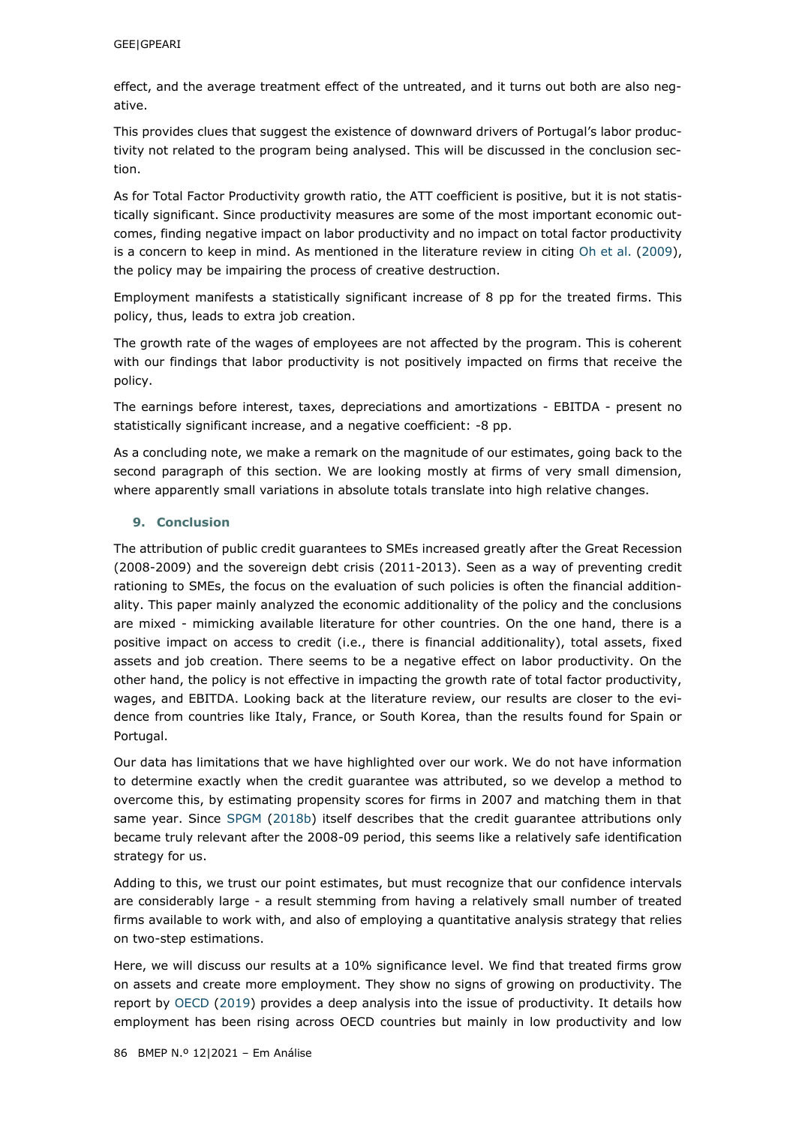effect, and the average treatment effect of the untreated, and it turns out both are also negative.

This provides clues that suggest the existence of downward drivers of Portugal's labor productivity not related to the program being analysed. This will be discussed in the conclusion section.

As for Total Factor Productivity growth ratio, the ATT coefficient is positive, but it is not statistically significant. Since productivity measures are some of the most important economic outcomes, finding negative impact on labor productivity and no impact on total factor productivity is a concern to keep in mind. As mentioned in the literature review in citing [Oh et al. \(2009\)](#page-13-10), the policy may be impairing the process of creative destruction.

Employment manifests a statistically significant increase of 8 pp for the treated firms. This policy, thus, leads to extra job creation.

The growth rate of the wages of employees are not affected by the program. This is coherent with our findings that labor productivity is not positively impacted on firms that receive the policy.

The earnings before interest, taxes, depreciations and amortizations - EBITDA - present no statistically significant increase, and a negative coefficient: -8 pp.

As a concluding note, we make a remark on the magnitude of our estimates, going back to the second paragraph of this section. We are looking mostly at firms of very small dimension, where apparently small variations in absolute totals translate into high relative changes.

## **9. Conclusion**

The attribution of public credit guarantees to SMEs increased greatly after the Great Recession (2008-2009) and the sovereign debt crisis (2011-2013). Seen as a way of preventing credit rationing to SMEs, the focus on the evaluation of such policies is often the financial additionality. This paper mainly analyzed the economic additionality of the policy and the conclusions are mixed - mimicking available literature for other countries. On the one hand, there is a positive impact on access to credit (i.e., there is financial additionality), total assets, fixed assets and job creation. There seems to be a negative effect on labor productivity. On the other hand, the policy is not effective in impacting the growth rate of total factor productivity, wages, and EBITDA. Looking back at the literature review, our results are closer to the evidence from countries like Italy, France, or South Korea, than the results found for Spain or Portugal.

Our data has limitations that we have highlighted over our work. We do not have information to determine exactly when the credit guarantee was attributed, so we develop a method to overcome this, by estimating propensity scores for firms in 2007 and matching them in that same year. Since [SPGM \(2018b\)](#page-14-0) itself describes that the credit guarantee attributions only became truly relevant after the 2008-09 period, this seems like a relatively safe identification strategy for us.

Adding to this, we trust our point estimates, but must recognize that our confidence intervals are considerably large - a result stemming from having a relatively small number of treated firms available to work with, and also of employing a quantitative analysis strategy that relies on two-step estimations.

Here, we will discuss our results at a 10% significance level. We find that treated firms grow on assets and create more employment. They show no signs of growing on productivity. The report by [OECD \(2019\)](#page-13-19) provides a deep analysis into the issue of productivity. It details how employment has been rising across OECD countries but mainly in low productivity and low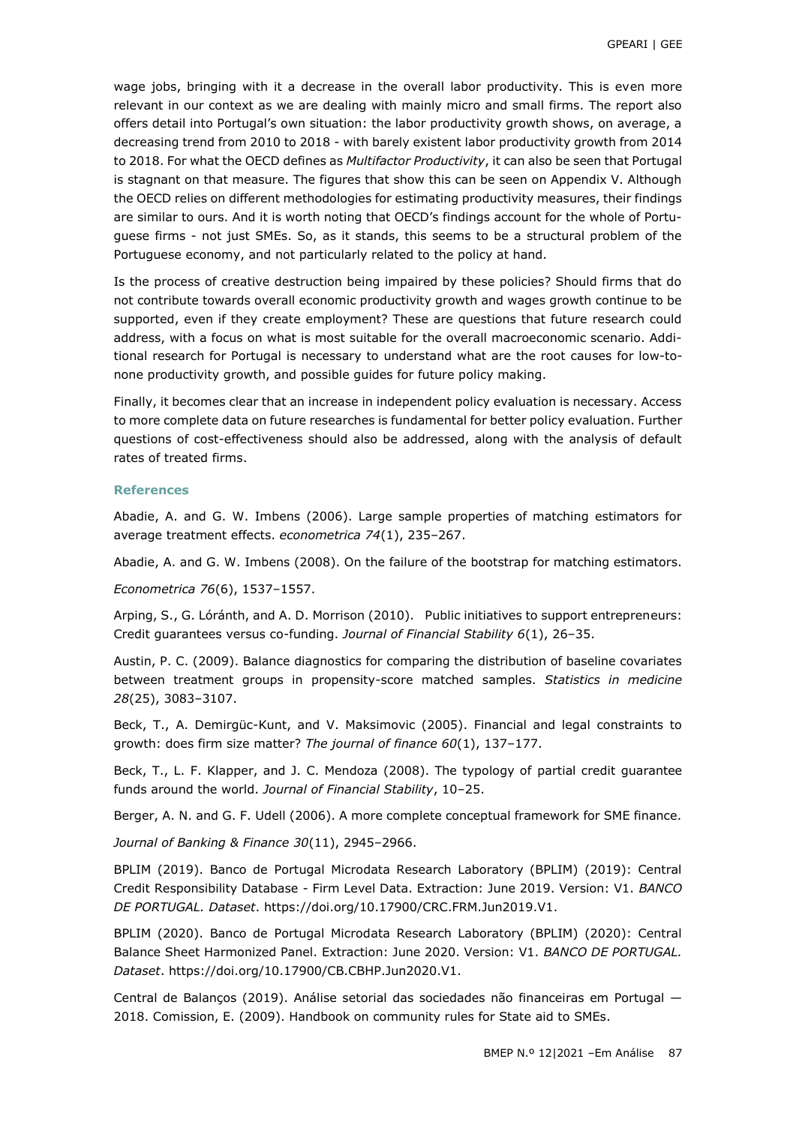wage jobs, bringing with it a decrease in the overall labor productivity. This is even more relevant in our context as we are dealing with mainly micro and small firms. The report also offers detail into Portugal's own situation: the labor productivity growth shows, on average, a decreasing trend from 2010 to 2018 - with barely existent labor productivity growth from 2014 to 2018. For what the OECD defines as *Multifactor Productivity*, it can also be seen that Portugal is stagnant on that measure. The figures that show this can be seen on Appendix V. Although the OECD relies on different methodologies for estimating productivity measures, their findings are similar to ours. And it is worth noting that OECD's findings account for the whole of Portuguese firms - not just SMEs. So, as it stands, this seems to be a structural problem of the Portuguese economy, and not particularly related to the policy at hand.

Is the process of creative destruction being impaired by these policies? Should firms that do not contribute towards overall economic productivity growth and wages growth continue to be supported, even if they create employment? These are questions that future research could address, with a focus on what is most suitable for the overall macroeconomic scenario. Additional research for Portugal is necessary to understand what are the root causes for low-tonone productivity growth, and possible guides for future policy making.

Finally, it becomes clear that an increase in independent policy evaluation is necessary. Access to more complete data on future researches is fundamental for better policy evaluation. Further questions of cost-effectiveness should also be addressed, along with the analysis of default rates of treated firms.

#### **References**

Abadie, A. and G. W. Imbens (2006). Large sample properties of matching estimators for average treatment effects. *econometrica 74*(1), 235–267.

<span id="page-12-8"></span>Abadie, A. and G. W. Imbens (2008). On the failure of the bootstrap for matching estimators.

*Econometrica 76*(6), 1537–1557.

<span id="page-12-5"></span>Arping, S., G. Lóránth, and A. D. Morrison (2010). Public initiatives to support entrepreneurs: Credit guarantees versus co-funding. *Journal of Financial Stability 6*(1), 26–35.

<span id="page-12-9"></span>Austin, P. C. (2009). Balance diagnostics for comparing the distribution of baseline covariates between treatment groups in propensity-score matched samples. *Statistics in medicine 28*(25), 3083–3107.

<span id="page-12-3"></span>Beck, T., A. Demirgüc-Kunt, and V. Maksimovic (2005). Financial and legal constraints to growth: does firm size matter? *The journal of finance 60*(1), 137–177.

<span id="page-12-2"></span>Beck, T., L. F. Klapper, and J. C. Mendoza (2008). The typology of partial credit guarantee funds around the world. *Journal of Financial Stability*, 10–25.

<span id="page-12-4"></span>Berger, A. N. and G. F. Udell (2006). A more complete conceptual framework for SME finance.

*Journal of Banking & Finance 30*(11), 2945–2966.

<span id="page-12-7"></span>BPLIM (2019). Banco de Portugal Microdata Research Laboratory (BPLIM) (2019): Central Credit Responsibility Database - Firm Level Data. Extraction: June 2019. Version: V1. *BANCO DE PORTUGAL. Dataset*. https://doi.org/10.17900/CRC.FRM.Jun2019.V1.

<span id="page-12-6"></span>BPLIM (2020). Banco de Portugal Microdata Research Laboratory (BPLIM) (2020): Central Balance Sheet Harmonized Panel. Extraction: June 2020. Version: V1. *BANCO DE PORTUGAL. Dataset*. https://doi.org/10.17900/CB.CBHP.Jun2020.V1.

<span id="page-12-1"></span><span id="page-12-0"></span>Central de Balanços (2019). Análise setorial das sociedades não financeiras em Portugal — 2018. Comission, E. (2009). Handbook on community rules for State aid to SMEs.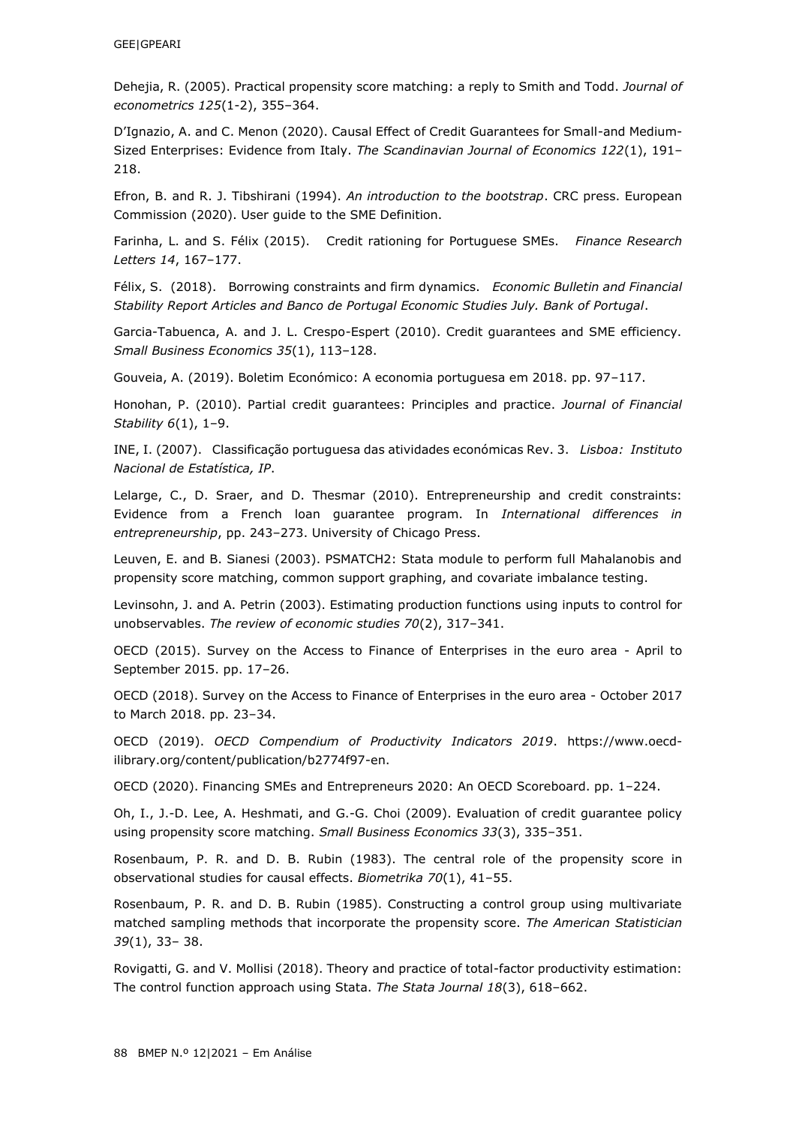<span id="page-13-15"></span>Dehejia, R. (2005). Practical propensity score matching: a reply to Smith and Todd. *Journal of econometrics 125*(1-2), 355–364.

<span id="page-13-8"></span>D'Ignazio, A. and C. Menon (2020). Causal Effect of Credit Guarantees for Small-and Medium-Sized Enterprises: Evidence from Italy. *The Scandinavian Journal of Economics 122*(1), 191– 218.

<span id="page-13-16"></span><span id="page-13-2"></span>Efron, B. and R. J. Tibshirani (1994). *An introduction to the bootstrap*. CRC press. European Commission (2020). User guide to the SME Definition.

<span id="page-13-1"></span>Farinha, L. and S. Félix (2015). Credit rationing for Portuguese SMEs. *Finance Research Letters 14*, 167–177.

<span id="page-13-6"></span>Félix, S. (2018). Borrowing constraints and firm dynamics. *Economic Bulletin and Financial Stability Report Articles and Banco de Portugal Economic Studies July. Bank of Portugal*.

<span id="page-13-7"></span>Garcia-Tabuenca, A. and J. L. Crespo-Espert (2010). Credit guarantees and SME efficiency. *Small Business Economics 35*(1), 113–128.

<span id="page-13-11"></span>Gouveia, A. (2019). Boletim Económico: A economia portuguesa em 2018. pp. 97–117.

<span id="page-13-5"></span>Honohan, P. (2010). Partial credit guarantees: Principles and practice. *Journal of Financial Stability 6*(1), 1–9.

<span id="page-13-20"></span>INE, I. (2007). Classificação portuguesa das atividades económicas Rev. 3. *Lisboa: Instituto Nacional de Estatística, IP*.

<span id="page-13-9"></span>Lelarge, C., D. Sraer, and D. Thesmar (2010). Entrepreneurship and credit constraints: Evidence from a French loan guarantee program. In *International differences in entrepreneurship*, pp. 243–273. University of Chicago Press.

<span id="page-13-17"></span>Leuven, E. and B. Sianesi (2003). PSMATCH2: Stata module to perform full Mahalanobis and propensity score matching, common support graphing, and covariate imbalance testing.

<span id="page-13-12"></span>Levinsohn, J. and A. Petrin (2003). Estimating production functions using inputs to control for unobservables. *The review of economic studies 70*(2), 317–341.

<span id="page-13-3"></span>OECD (2015). Survey on the Access to Finance of Enterprises in the euro area - April to September 2015. pp. 17–26.

<span id="page-13-4"></span>OECD (2018). Survey on the Access to Finance of Enterprises in the euro area - October 2017 to March 2018. pp. 23–34.

<span id="page-13-19"></span>OECD (2019). *OECD Compendium of Productivity Indicators 2019*. https://www.oecdilibrary.org/content/publication/b2774f97-en.

<span id="page-13-0"></span>OECD (2020). Financing SMEs and Entrepreneurs 2020: An OECD Scoreboard. pp. 1–224.

<span id="page-13-10"></span>Oh, I., J.-D. Lee, A. Heshmati, and G.-G. Choi (2009). Evaluation of credit guarantee policy using propensity score matching. *Small Business Economics 33*(3), 335–351.

<span id="page-13-14"></span>Rosenbaum, P. R. and D. B. Rubin (1983). The central role of the propensity score in observational studies for causal effects. *Biometrika 70*(1), 41–55.

<span id="page-13-18"></span>Rosenbaum, P. R. and D. B. Rubin (1985). Constructing a control group using multivariate matched sampling methods that incorporate the propensity score. *The American Statistician 39*(1), 33– 38.

<span id="page-13-13"></span>Rovigatti, G. and V. Mollisi (2018). Theory and practice of total-factor productivity estimation: The control function approach using Stata. *The Stata Journal 18*(3), 618–662.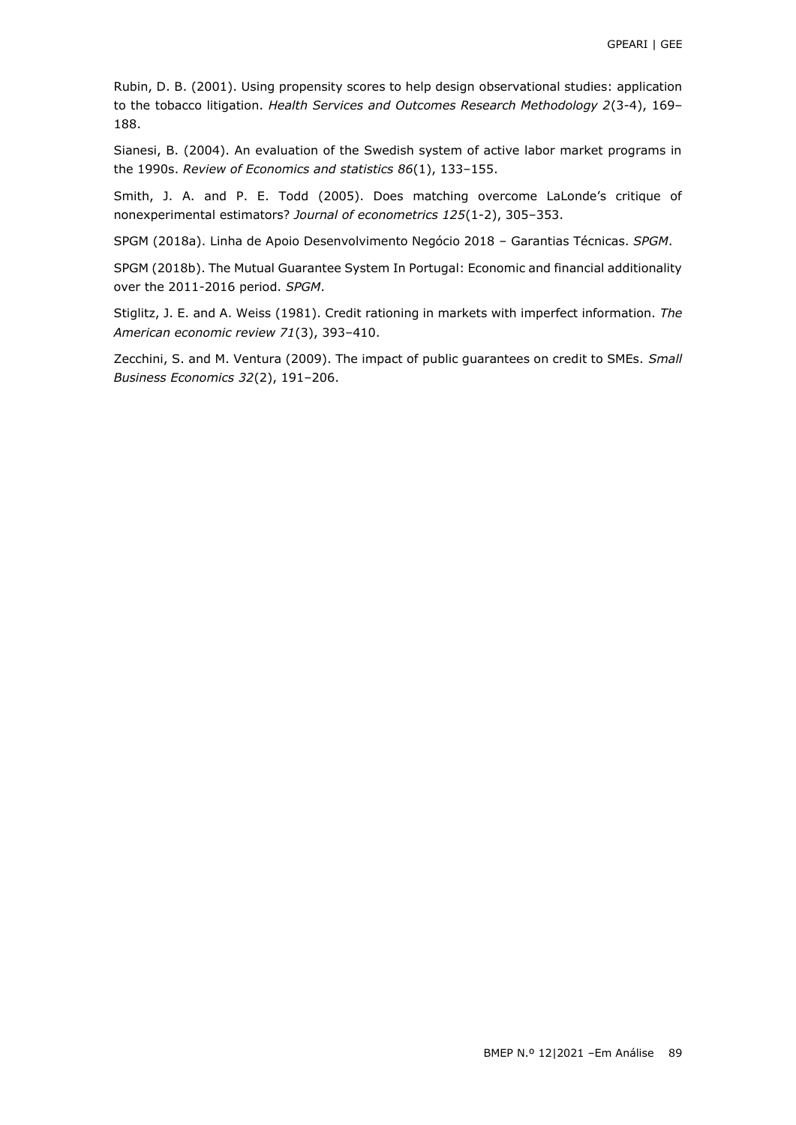<span id="page-14-6"></span>Rubin, D. B. (2001). Using propensity scores to help design observational studies: application to the tobacco litigation. *Health Services and Outcomes Research Methodology 2*(3-4), 169– 188.

<span id="page-14-5"></span>Sianesi, B. (2004). An evaluation of the Swedish system of active labor market programs in the 1990s. *Review of Economics and statistics 86*(1), 133–155.

<span id="page-14-4"></span>Smith, J. A. and P. E. Todd (2005). Does matching overcome LaLonde's critique of nonexperimental estimators? *Journal of econometrics 125*(1-2), 305–353.

<span id="page-14-3"></span>SPGM (2018a). Linha de Apoio Desenvolvimento Negócio 2018 – Garantias Técnicas. *SPGM*.

<span id="page-14-0"></span>SPGM (2018b). The Mutual Guarantee System In Portugal: Economic and financial additionality over the 2011-2016 period. *SPGM*.

<span id="page-14-1"></span>Stiglitz, J. E. and A. Weiss (1981). Credit rationing in markets with imperfect information. *The American economic review 71*(3), 393–410.

<span id="page-14-2"></span>Zecchini, S. and M. Ventura (2009). The impact of public guarantees on credit to SMEs. *Small Business Economics 32*(2), 191–206.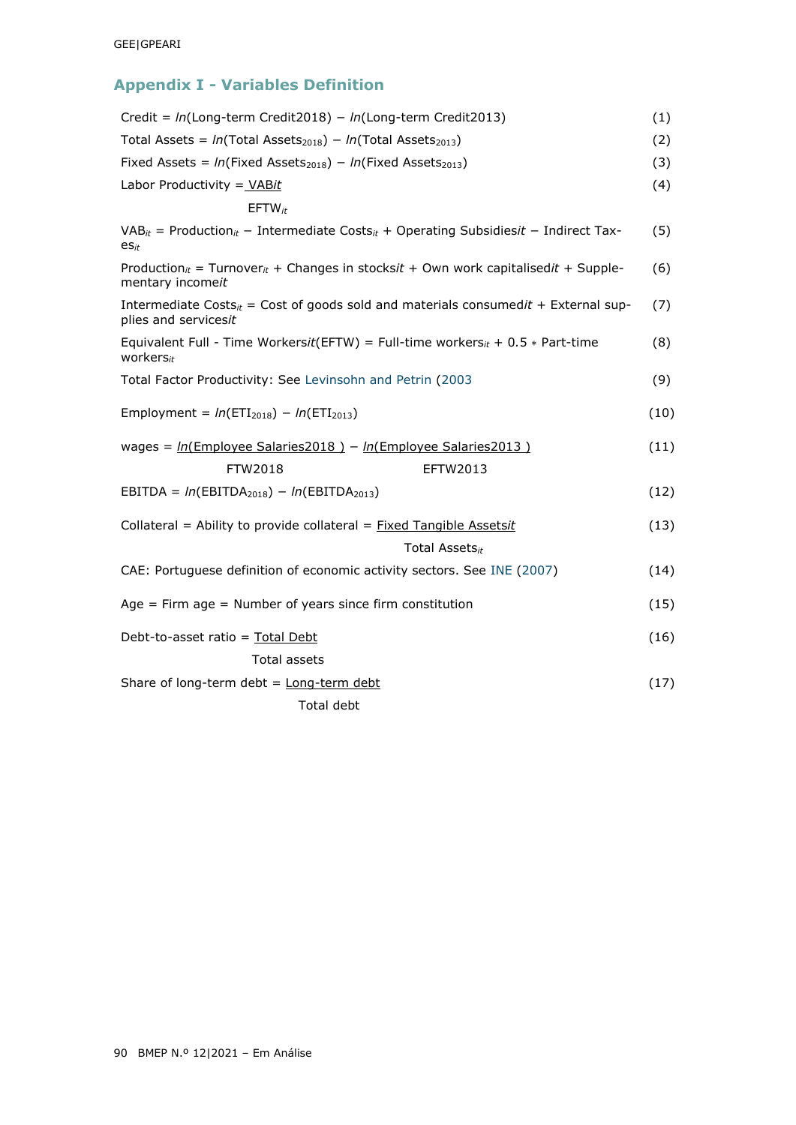# **Appendix I - Variables Definition**

| Credit = $ln(Long-term Credit2018) - ln(Long-term Credit2013)$                                                                         | (1)  |
|----------------------------------------------------------------------------------------------------------------------------------------|------|
| Total Assets = $ln(Total Assets2018) - ln(Total Assets2013)$                                                                           | (2)  |
| Fixed Assets = $ln(Fixed \text{Assets}_{2018}) - ln(Fixed \text{Assets}_{2013})$                                                       | (3)  |
| Labor Productivity = VABit                                                                                                             | (4)  |
| $EFTW_{it}$                                                                                                                            |      |
| $VAB_{it}$ = Production <sub>it</sub> – Intermediate Costs <sub>it</sub> + Operating Subsidiesit – Indirect Tax-<br>$\mathsf{es}_{it}$ | (5)  |
| Production <sub>it</sub> = Turnover <sub>it</sub> + Changes in stocksit + Own work capitalisedit + Supple-<br>mentary incomeit         | (6)  |
| Intermediate Costs <sub>it</sub> = Cost of goods sold and materials consumedit + External sup-<br>plies and servicesit                 | (7)  |
| Equivalent Full - Time Workersit(EFTW) = Full-time workers <sub>it</sub> + 0.5 $*$ Part-time<br>workers $_{it}$                        | (8)  |
| Total Factor Productivity: See Levinsohn and Petrin (2003                                                                              | (9)  |
| Employment = $ln(ETI_{2018}) - ln(ETI_{2013})$                                                                                         | (10) |
| wages = $ln($ Employee Salaries2018 ) - $ln($ Employee Salaries2013 )                                                                  | (11) |
| FTW2018<br>EFTW2013                                                                                                                    |      |
| EBITDA = $ln(EBITDA2018) - ln(EBITDA2013)$                                                                                             | (12) |
| Collateral = Ability to provide collateral = Fixed Tangible Assetsit                                                                   | (13) |
| Total Assets <sub>it</sub>                                                                                                             |      |
| CAE: Portuguese definition of economic activity sectors. See INE (2007)                                                                | (14) |
| Age $=$ Firm age $=$ Number of years since firm constitution                                                                           | (15) |
| Debt-to-asset ratio = Total Debt                                                                                                       | (16) |
| Total assets                                                                                                                           |      |
| Share of long-term debt = $Long-term debt$                                                                                             | (17) |
| Total debt                                                                                                                             |      |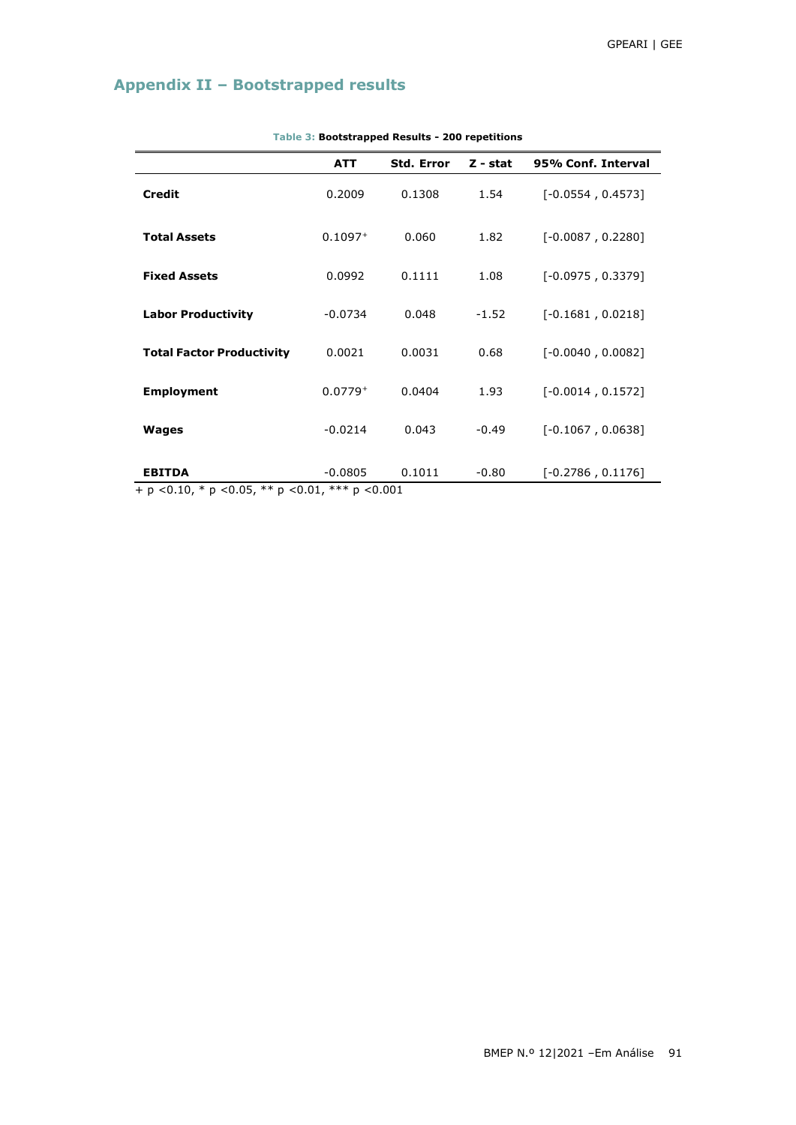# **Appendix II – Bootstrapped results**

|                                                       | <b>ATT</b> | <b>Std. Error</b> | $Z - stat$ | 95% Conf. Interval  |
|-------------------------------------------------------|------------|-------------------|------------|---------------------|
| <b>Credit</b>                                         | 0.2009     | 0.1308            | 1.54       | $[-0.0554, 0.4573]$ |
| <b>Total Assets</b>                                   | $0.1097+$  | 0.060             | 1.82       | $[-0.0087, 0.2280]$ |
| <b>Fixed Assets</b>                                   | 0.0992     | 0.1111            | 1.08       | $[-0.0975, 0.3379]$ |
| <b>Labor Productivity</b>                             | $-0.0734$  | 0.048             | $-1.52$    | $[-0.1681, 0.0218]$ |
| <b>Total Factor Productivity</b>                      | 0.0021     | 0.0031            | 0.68       | $[-0.0040, 0.0082]$ |
| <b>Employment</b>                                     | $0.0779+$  | 0.0404            | 1.93       | $[-0.0014, 0.1572]$ |
| Wages                                                 | $-0.0214$  | 0.043             | $-0.49$    | $[-0.1067, 0.0638]$ |
| <b>EBITDA</b><br>$1.7010 \times 2.000 \times 10^{10}$ | $-0.0805$  | 0.1011            | $-0.80$    | $[-0.2786, 0.1176]$ |

**Table 3: Bootstrapped Results - 200 repetitions**

+ p *<*0.10, \* p *<*0.05, \*\* p *<*0.01, \*\*\* p *<*0.001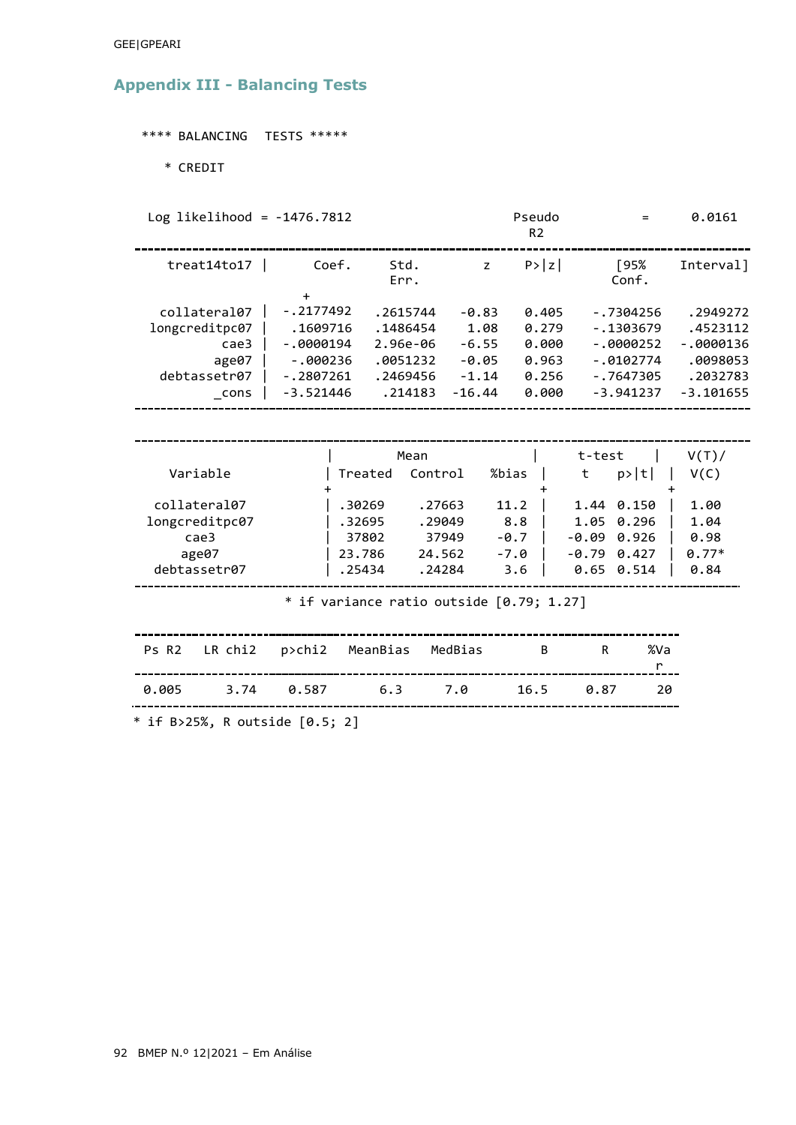### GEE|GPEARI

# **Appendix III - Balancing Tests**

\*\*\*\* BALANCING TESTS \*\*\*\*\*

\* CREDIT

Log likelihood =  $-1476.7812$ 

|                                                                          |                                                                                               |                                                                     |                                                              | R <sub>2</sub>                                     |                                                                                       |                         |                                                                           |  |  |
|--------------------------------------------------------------------------|-----------------------------------------------------------------------------------------------|---------------------------------------------------------------------|--------------------------------------------------------------|----------------------------------------------------|---------------------------------------------------------------------------------------|-------------------------|---------------------------------------------------------------------------|--|--|
| treat14 to17                                                             | Coef.                                                                                         | Std.<br>Err.                                                        | z                                                            | P >  z                                             | [95%<br>Conf.                                                                         |                         | Interval]                                                                 |  |  |
| collateral07<br>longcreditpc07<br>case3<br>age07<br>debtassetr07<br>cons | $\ddot{}$<br>$-.2177492$<br>.1609716<br>$-0000194$<br>$-000236$<br>$-.2807261$<br>$-3.521446$ | .2615744<br>.1486454<br>2.96e-06<br>.0051232<br>.2469456<br>.214183 | $-0.83$<br>1.08<br>$-6.55$<br>$-0.05$<br>$-1.14$<br>$-16.44$ | 0.405<br>0.279<br>0.000<br>0.963<br>0.256<br>0.000 | $-.7304256$<br>$-1303679$<br>$-.0000252$<br>$-.0102774$<br>$-.7647305$<br>$-3.941237$ |                         | .2949272<br>.4523112<br>$-0000136$<br>.0098053<br>.2032783<br>$-3.101655$ |  |  |
|                                                                          |                                                                                               |                                                                     |                                                              |                                                    |                                                                                       |                         |                                                                           |  |  |
| Variable<br>collateral07<br>longcreditpc07<br>case3<br>age07             | Treated<br>.30269<br>.32695<br>37802<br>23.786                                                | Mean<br>Control<br>.27663<br>.29049<br>24.562                       | %bias<br>11.2<br>37949<br>$-0.7$<br>$-7.0$                   | 8.8                                                | t-test<br>t<br>1.44 0.150<br>1.05<br>-0.09<br>$-0.79$ $0.427$                         | p> t <br>0.296<br>0.926 | V(T)<br>V(C)<br>1.00<br>1.04<br>0.98<br>$0.77*$                           |  |  |
| debtassetr07                                                             | .25434                                                                                        | .24284                                                              |                                                              | 3.6                                                | 0.65<br>0.514                                                                         |                         | 0.84                                                                      |  |  |
| * if variance ratio outside $[0.79; 1.27]$                               |                                                                                               |                                                                     |                                                              |                                                    |                                                                                       |                         |                                                                           |  |  |
| LR chi2<br>Ps R <sub>2</sub>                                             | p>chi2                                                                                        | MeanBias                                                            | MedBias                                                      | B                                                  | R                                                                                     | %Va<br>r                |                                                                           |  |  |
| 0.005<br>3.74                                                            | 0.587                                                                                         | 6.3                                                                 | 7.0                                                          | 16.5                                               | 0.87                                                                                  | 20                      |                                                                           |  |  |

Pseudo = 0.0161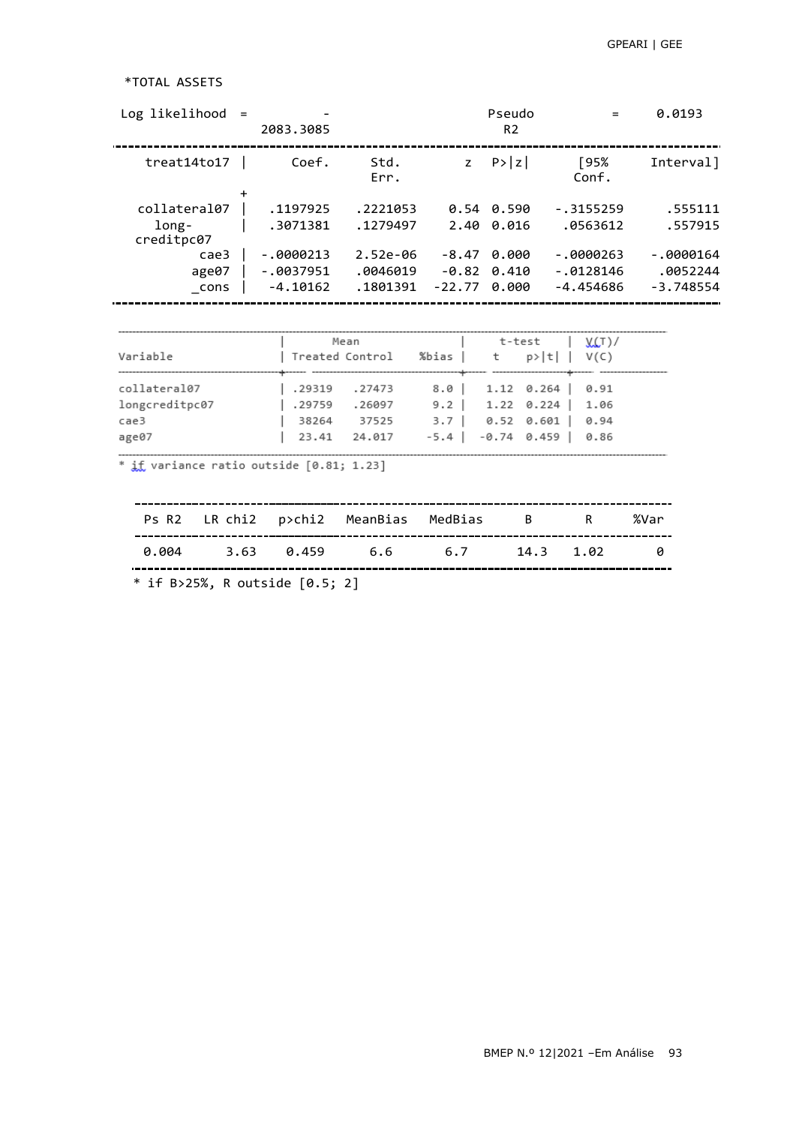## \*TOTAL ASSETS

| $Log likelibood =$ | 2083.3085   |              |              | Pseudo<br>R <sub>2</sub> |               | 0.0193      |
|--------------------|-------------|--------------|--------------|--------------------------|---------------|-------------|
| treat14to17        | Coef.       | Std.<br>Err. | $\mathsf{Z}$ | P >  z                   | [95%<br>Conf. | Interval]   |
|                    |             |              |              |                          |               |             |
| collateral07       | .1197925    | .2221053     | 0.54         | 0.590                    | $-.3155259$   | .555111     |
| long-              | .3071381    | .1279497     | 2.40         | 0.016                    | .0563612      | .557915     |
| creditpc07         |             |              |              |                          |               |             |
| cae3               | $-.0000213$ | $2.52e-06$   | $-8.47$      | 0.000                    | $-0000263$    | $-0000164$  |
| age07              | $-.0037951$ | .0046019     | -0.82        | 0.410                    | $-.0128146$   | .0052244    |
| cons               | $-4.10162$  | .1801391     | $-22.77$     | 0.000                    | $-4.454686$   | $-3.748554$ |
|                    |             |              |              |                          |               |             |

| Variable                                        | Mean                                             | Treated Control %bias   t   p> t    V(C) |                               | t-test   V(T)/                                                               |      |
|-------------------------------------------------|--------------------------------------------------|------------------------------------------|-------------------------------|------------------------------------------------------------------------------|------|
| collateral07<br>longcreditpc07<br>cae3<br>age07 | .29319 .27473<br>.29759<br>38264<br>23.41 24.017 | .26097<br>37525                          | $-5.4$   $-0.74$ 0.459   0.86 | $8.0$   1.12 0.264   0.91<br>$9.2$   1.22 0.224   1.06<br>$3.7$   0.52 0.601 | 0.94 |

\* if variance ratio outside [0.81; 1.23]

|       |  | Ps R2 LR chi2  p>chi2  MeanBias  MedBias  B  R %Var |  |                |
|-------|--|-----------------------------------------------------|--|----------------|
| ค.คค4 |  | 3.63 0.459 6.6 6.7 14.3 1.02                        |  | $\overline{a}$ |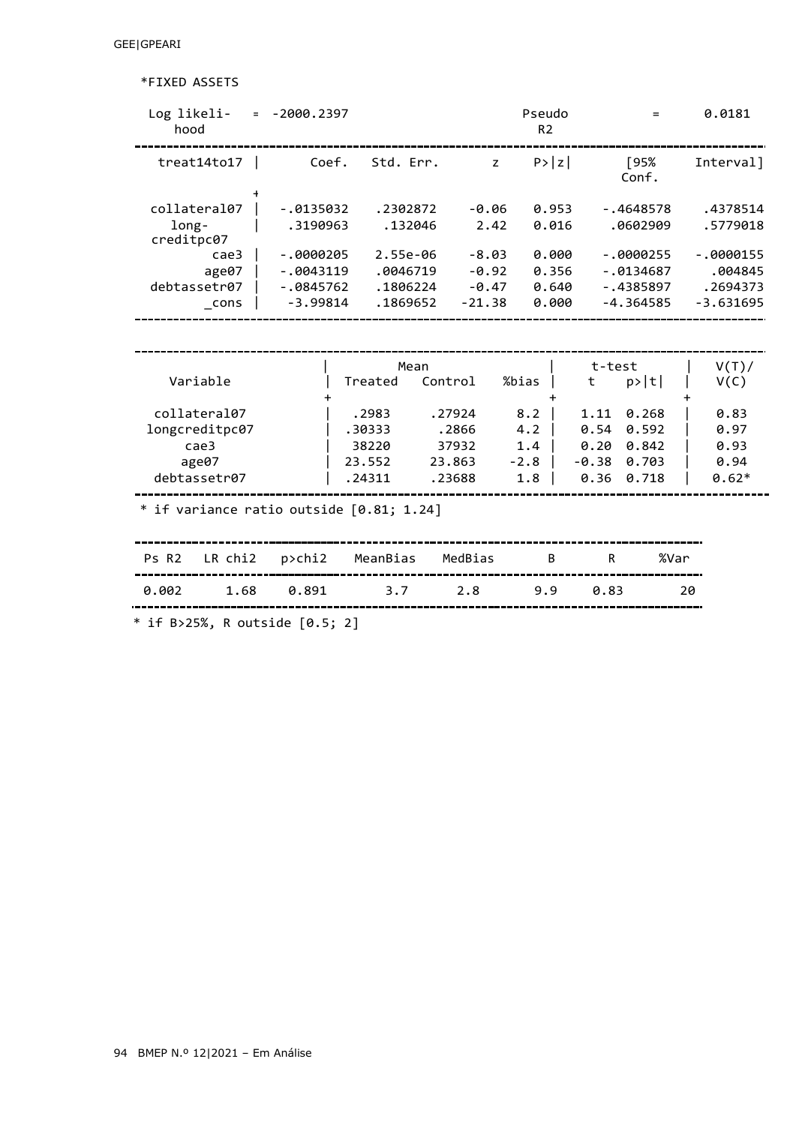\*FIXED ASSETS

| Log likeli-<br>hood                          | $= -2000.2397$ |           |          | Pseudo<br>R <sub>2</sub> |                  | $=$  | 0.0181      |  |  |  |
|----------------------------------------------|----------------|-----------|----------|--------------------------|------------------|------|-------------|--|--|--|
| treat14to17                                  | Coef.          | Std. Err. | Z        | P >  z                   | [95%<br>Conf.    |      | Interval]   |  |  |  |
| collateral07                                 | $-.0135032$    | .2302872  | $-0.06$  | 0.953                    | $-.4648578$      |      | .4378514    |  |  |  |
| long-<br>creditpc07                          | .3190963       | .132046   | 2.42     | 0.016                    | .0602909         |      | .5779018    |  |  |  |
| case3                                        | $-.0000205$    | 2.55e-06  | $-8.03$  | 0.000                    | $-.0000255$      |      | $-.0000155$ |  |  |  |
| age07                                        | $-0043119$     | .0046719  | $-0.92$  | 0.356                    | $-0.0134687$     |      | .004845     |  |  |  |
| debtassetr07                                 | $-.0845762$    | .1806224  | $-0.47$  | 0.640                    | $-.4385897$      |      | .2694373    |  |  |  |
| cons                                         | $-3.99814$     | .1869652  | $-21.38$ | 0.000                    | $-4.364585$      |      | $-3.631695$ |  |  |  |
|                                              |                |           |          |                          |                  |      |             |  |  |  |
|                                              |                | Mean      |          |                          | t-test           |      | V(T)        |  |  |  |
| Variable                                     |                | Treated   | Control  | %bias                    | p> t <br>t       |      | V(C)        |  |  |  |
| collateral07                                 |                | .2983     | .27924   | 8.2                      | 0.268<br>1.11    |      | 0.83        |  |  |  |
| longcreditpc07                               |                | .30333    | .2866    | 4.2                      | 0.54<br>0.592    |      | 0.97        |  |  |  |
| case3                                        |                | 38220     | 37932    | 1.4                      | 0.20<br>0.842    |      | 0.93        |  |  |  |
| age07                                        |                | 23.552    | 23.863   | $-2.8$                   | 0.703<br>$-0.38$ |      | 0.94        |  |  |  |
| debtassetr07                                 |                | .24311    | .23688   | 1.8                      | 0.718<br>0.36    |      | $0.62*$     |  |  |  |
| $*$ if variance ratio outside $[0.81; 1.24]$ |                |           |          |                          |                  |      |             |  |  |  |
| LR chi2<br>Ps R <sub>2</sub>                 | p>chi2         | MeanBias  | MedBias  | B                        | R                | %Var |             |  |  |  |
| 0.002<br>1.68                                | 0.891          | 3.7       | 2.8      | 9.9                      | 0.83             | 20   |             |  |  |  |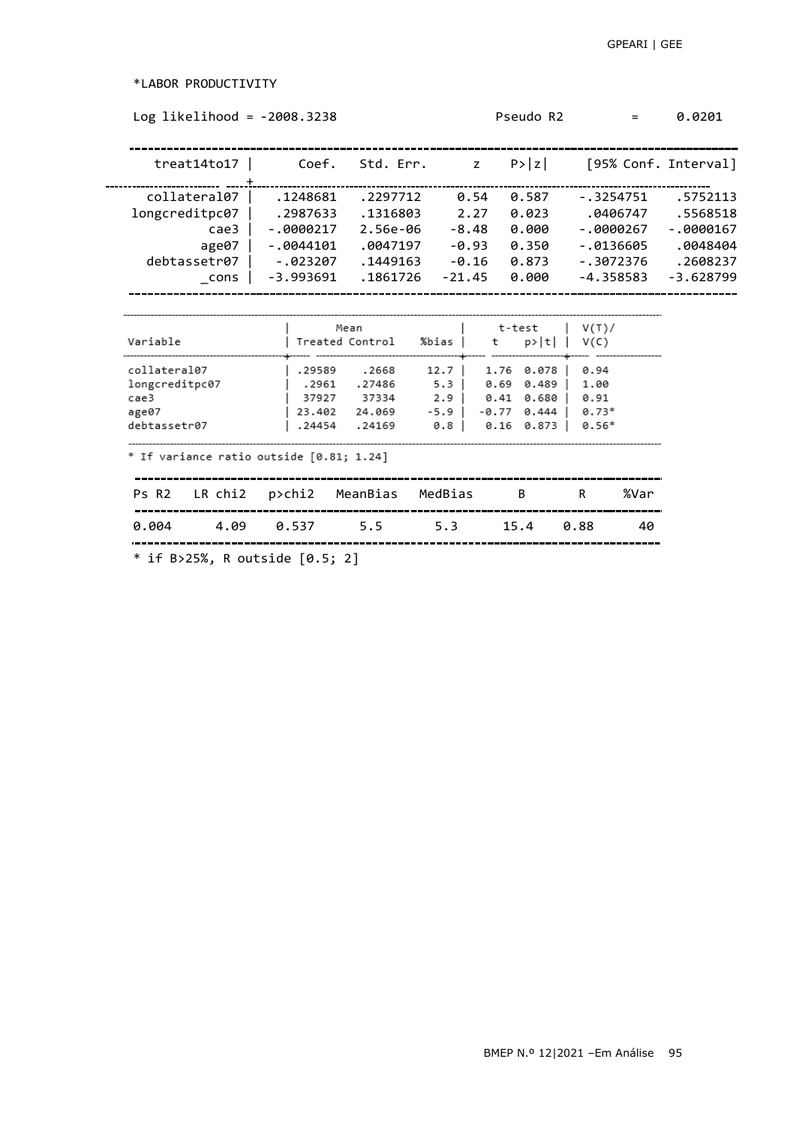\*LABOR PRODUCTIVITY

| treat14 to17                                                    | Coef.                           | Std. Err.      z                                      |                                                       |                                                 | $ P\rangle  z $ [95% Conf. Interval]       |                   |             |
|-----------------------------------------------------------------|---------------------------------|-------------------------------------------------------|-------------------------------------------------------|-------------------------------------------------|--------------------------------------------|-------------------|-------------|
|                                                                 |                                 |                                                       |                                                       |                                                 |                                            |                   |             |
| collateral07                                                    | .1248681                        | .2297712                                              | 0.54                                                  | 0.587                                           | $-.3254751$                                |                   | .5752113    |
| longcreditpc07                                                  | .2987633                        | .1316803 2.27                                         |                                                       | 0.023                                           |                                            | .0406747 .5568518 |             |
| cae3 l                                                          | -.0000217                       |                                                       | 2.56e-06 -8.48                                        | 0.000                                           |                                            | -.0000267         | $-0000167$  |
| age07 $ $                                                       | -.0044101                       |                                                       | .0047197 -0.93                                        | 0.350                                           |                                            | -.0136605         | .0048404    |
| debtassetr07                                                    | -.023207                        | .1449163 -0.16                                        |                                                       | 0.873                                           |                                            | -.3072376         | .2608237    |
| cons                                                            | -3.993691                       | .1861726                                              | -21.45                                                | 0.000                                           |                                            | -4.358583         | $-3.628799$ |
| collateral07<br>longcreditpc07<br>cae3<br>age07<br>debtassetr07 | .29589 .2668<br>.2961<br>.24454 | .27486<br>37927 37334<br>23.402 24.069 -5.9<br>.24169 | $12.7$   1.76 0.078  <br>5.3 0.69 0.489<br>2.9<br>0.8 | 0.41 0.680  <br>$-0.77$ $0.444$  <br>0.16 0.873 | 0.94<br>1.00<br>0.91<br>$0.73*$<br>$0.56*$ |                   |             |
| * If variance ratio outside [0.81; 1.24]                        |                                 |                                                       |                                                       |                                                 |                                            |                   |             |
| Ps R2 LR chi2 p>chi2 MeanBias MedBias B                         |                                 |                                                       |                                                       |                                                 | R                                          | %Var              |             |
| 0.004<br>4.09                                                   | 0.537                           | 5.5                                                   | 5.3                                                   | 15.4                                            | 0.88                                       | 40                |             |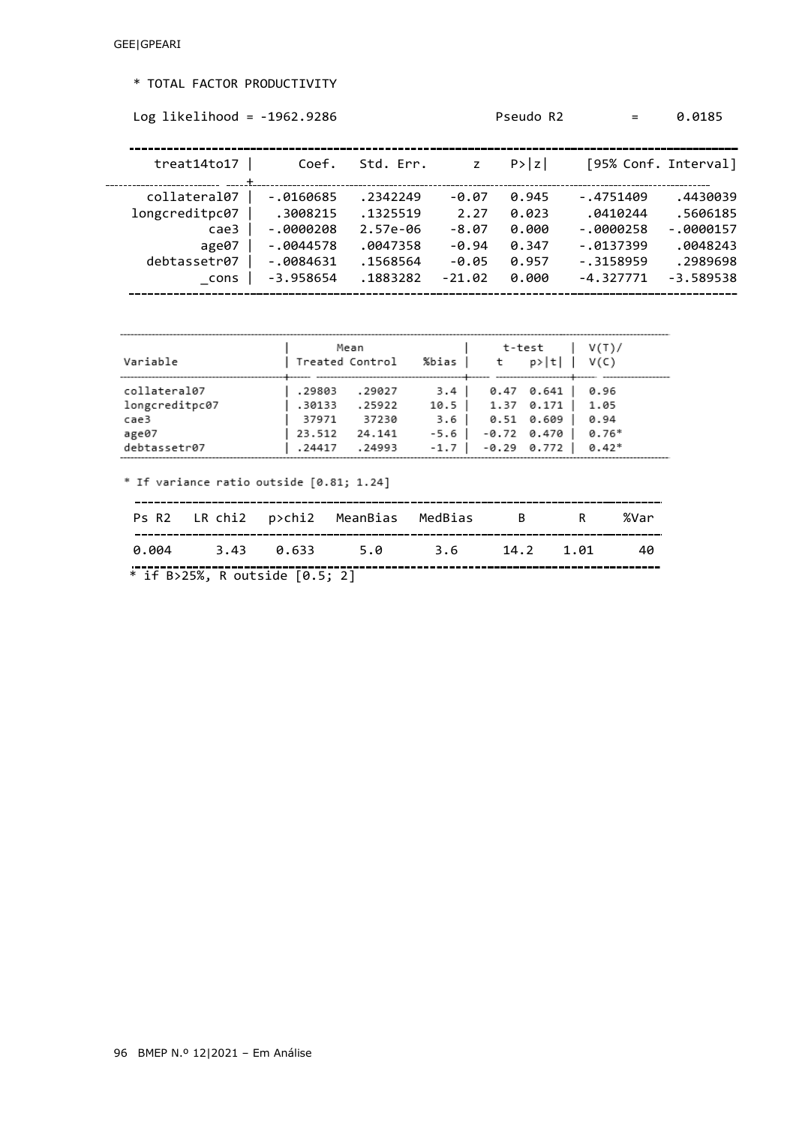## \* TOTAL FACTOR PRODUCTIVITY

```
Log likelihood = -1962.9286 Pseudo R2 = 0.0185
```

| treat14to17    | Coef.        | Std. Err.  |          | P >  z |              | [95% Conf. Interval] |
|----------------|--------------|------------|----------|--------|--------------|----------------------|
| collateral07   | $-0.0160685$ | .2342249   | $-0.07$  | 0.945  | $-.4751409$  | .4430039             |
| longcreditpc07 | .3008215     | .1325519   | 2.27     | 0.023  | .0410244     | .5606185             |
| cae3           | $-0000208$   | $2.57e-06$ | $-8.07$  | 0.000  | $-.0000258$  | $-.0000157$          |
| age07          | $-0044578$   | .0047358   | $-0.94$  | 0.347  | $-0.0137399$ | .0048243             |
| debtassetr07   | $-0084631$   | .1568564   | $-0.05$  | 0.957  | $-.3158959$  | .2989698             |
| cons           | $-3.958654$  | .1883282   | $-21.02$ | 0.000  | $-4.327771$  | $-3.589538$          |
|                |              |            |          |        |              |                      |

| Variable                                                        | Treated Control                               | Mean                                          | %bias                       | t                                       | t-test<br>$p> t $ $V(C)$                                       | V(T)/                                      |
|-----------------------------------------------------------------|-----------------------------------------------|-----------------------------------------------|-----------------------------|-----------------------------------------|----------------------------------------------------------------|--------------------------------------------|
| collateral07<br>longcreditpc07<br>cae3<br>age07<br>debtassetr07 | .29803<br>.30133<br>37971<br>23.512<br>.24417 | .29027<br>.25922<br>37230<br>24.141<br>.24993 | 3.4 I<br>$-5.6$  <br>$-1.7$ | $10.5$   1.37 0.171  <br>3.6 0.51 0.609 | $0.47$ $0.641$  <br>$-0.72$ $0.470$ $\vert$<br>$-0.29$ $0.772$ | 0.96<br>1.05<br>0.94<br>$0.76*$<br>$0.42*$ |

\* If variance ratio outside [0.81; 1.24]

|                                  | 0.004 3.43 0.633 5.0 3.6 14.2 1.01 40 |  |  |
|----------------------------------|---------------------------------------|--|--|
| * if B>25%, R outside $[0.5; 2]$ |                                       |  |  |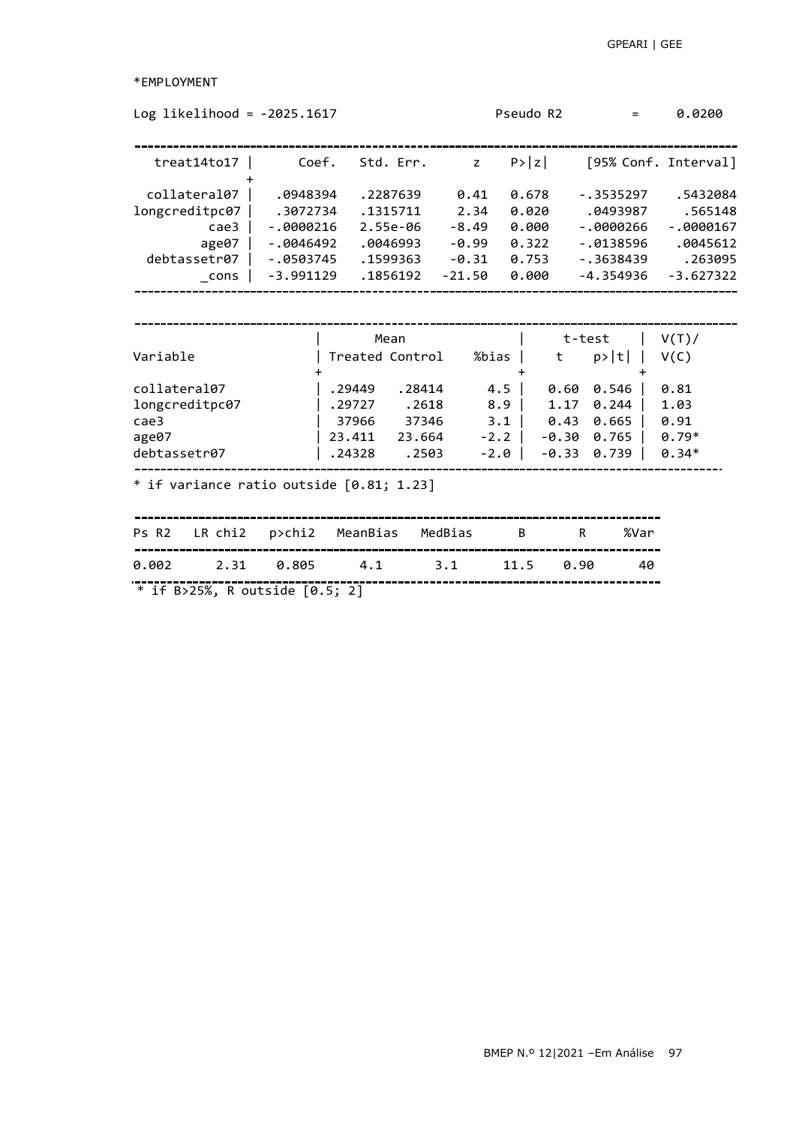\*EMPLOYMENT

| Log likelihood = $-2025.1617$                                                                                               |                                                                                  |                                                                          |                                                           | Pseudo R2                                                     |                                                           | $=$                                                                                 | 0.0200                                                                   |
|-----------------------------------------------------------------------------------------------------------------------------|----------------------------------------------------------------------------------|--------------------------------------------------------------------------|-----------------------------------------------------------|---------------------------------------------------------------|-----------------------------------------------------------|-------------------------------------------------------------------------------------|--------------------------------------------------------------------------|
| treat14to17                                                                                                                 | Coef.                                                                            | Std. Err.                                                                |                                                           | P >  z <br>z                                                  |                                                           |                                                                                     | [95% Conf. Interval]                                                     |
| collateral07<br>longcreditpc07<br>case3<br>age07<br>debtassetr07<br>cons                                                    | .0948394<br>.3072734<br>$-.0000216$<br>$-.0046492$<br>$-.0503745$<br>$-3.991129$ | .2287639<br>.1315711<br>2.55e-06<br>.0046993<br>.1599363<br>.1856192     | 0.41<br>2.34<br>$-8.49$<br>$-0.99$<br>$-0.31$<br>$-21.50$ | 0.678<br>0.020<br>0.000<br>0.322<br>0.753<br>0.000            |                                                           | $-.3535297$<br>.0493987<br>$-.0000266$<br>$-.0138596$<br>$-.3638439$<br>$-4.354936$ | .5432084<br>.565148<br>$-.0000167$<br>.0045612<br>.263095<br>$-3.627322$ |
| Variable<br>collateral07<br>longcreditpc07<br>cae3<br>age07<br>debtassetr07<br>$*$ if variance ratio outside $[0.81; 1.23]$ |                                                                                  | Mean<br>Treated Control<br>.29449<br>.29727<br>37966<br>23.411<br>.24328 | .28414<br>.2618<br>37346<br>23.664<br>.2503               | %bias  <br>4.5 <sub>1</sub><br>8.9<br>3.1<br>$-2.2$<br>$-2.0$ | t-test<br>t<br>0.60<br>1.17<br>0.43<br>$-0.30$<br>$-0.33$ | p> t <br>0.546<br>0.244<br>0.665<br>0.765<br>0.739                                  | V(T)<br>V(C)<br>0.81<br>1.03<br>0.91<br>$0.79*$<br>$0.34*$               |
| Ps R2<br>LR chi2<br>0.002<br>2.31                                                                                           | p>chi2<br>0.805                                                                  | MeanBias<br>4.1                                                          | MedBias<br>3.1                                            | B<br>11.5                                                     | R<br>0.90                                                 | %Var<br>40                                                                          |                                                                          |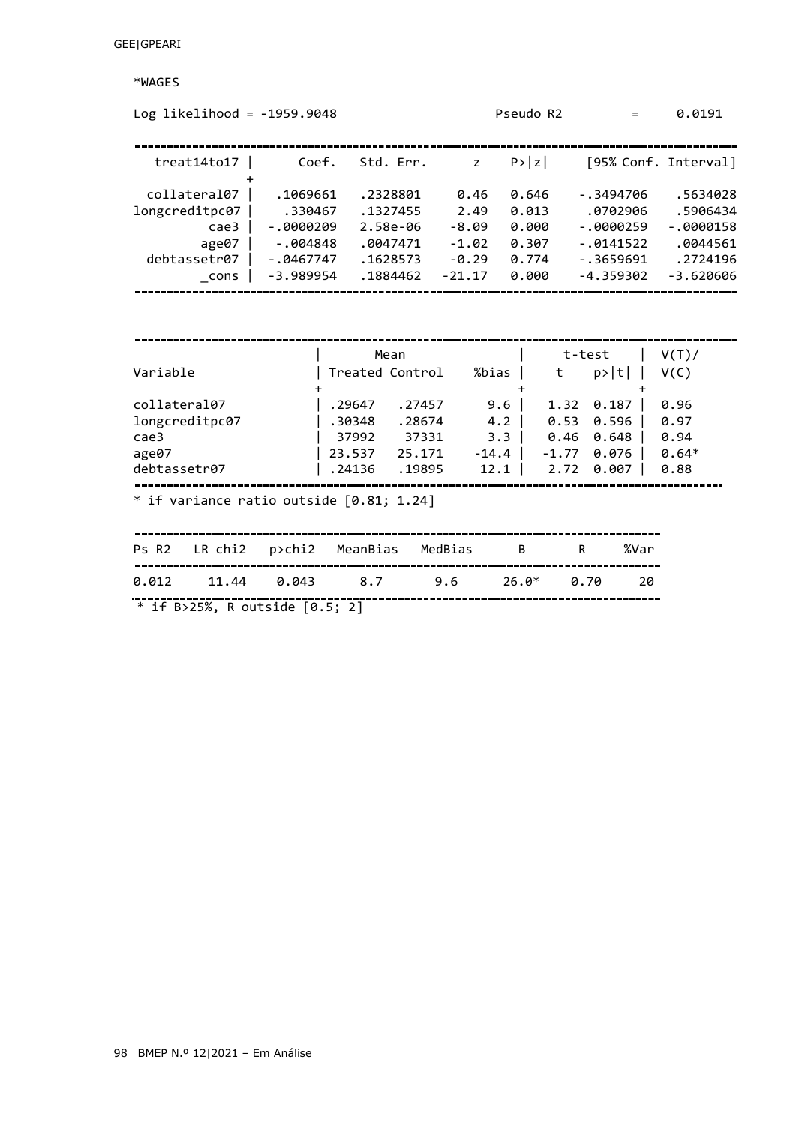\*WAGES

| Log likelihood = $-1959.9048$                                           |                                                                               |                                                                      |                                                           | Pseudo R2                                          | $=$                                                                               | 0.0191                                                                     |
|-------------------------------------------------------------------------|-------------------------------------------------------------------------------|----------------------------------------------------------------------|-----------------------------------------------------------|----------------------------------------------------|-----------------------------------------------------------------------------------|----------------------------------------------------------------------------|
| treat14to17                                                             | Coef.                                                                         | Std. Err.                                                            | $\mathsf{z}$                                              | P >  z                                             |                                                                                   | [95% Conf. Interval]                                                       |
| collateral07<br>longcreditpc07<br>cae3<br>age07<br>debtassetr07<br>cons | .1069661<br>.330467<br>$-0000209$<br>$-.004848$<br>$-.0467747$<br>$-3.989954$ | .2328801<br>.1327455<br>2.58e-06<br>.0047471<br>.1628573<br>.1884462 | 0.46<br>2.49<br>$-8.09$<br>$-1.02$<br>$-0.29$<br>$-21.17$ | 0.646<br>0.013<br>0.000<br>0.307<br>0.774<br>0.000 | $-.3494706$<br>.0702906<br>$-.0000259$<br>$-.0141522$<br>$-.3659691$<br>-4.359302 | .5634028<br>.5906434<br>$-.0000158$<br>.0044561<br>.2724196<br>$-3.620606$ |
|                                                                         |                                                                               |                                                                      |                                                           |                                                    |                                                                                   |                                                                            |
| Variable                                                                |                                                                               | Mean<br>Treated Control                                              | %bias                                                     | t                                                  | t-test<br>p> t                                                                    | V(T)<br>V(C)                                                               |

| collateral07   | .29647 | .27457 | 9.6              | 1.32 0.187    | 0.96    |
|----------------|--------|--------|------------------|---------------|---------|
| longcreditpc07 | .30348 | .28674 | 4.2 <sub>1</sub> | $0.53$ 0.596  | 0.97    |
| cae3           | 37992  | 37331  | 3.3 <sub>1</sub> | $0.46$ 0.648  | 0.94    |
| age07          | 23.537 | 25.171 | $-14.4$          | $-1.77$ 0.076 | $0.64*$ |
| debtassetr07   | .24136 | .19895 | 12.1             | 2.72 0.007    | 0.88    |
|                |        |        |                  |               |         |

\* if variance ratio outside [0.81; 1.24]

|  | Ps R2 LR chi2 p>chi2 MeanBias MedBias B R %Var |  |  |
|--|------------------------------------------------|--|--|
|  | $0.012$ 11.44 $0.043$ 8.7 9.6 26.0* 0.70 20    |  |  |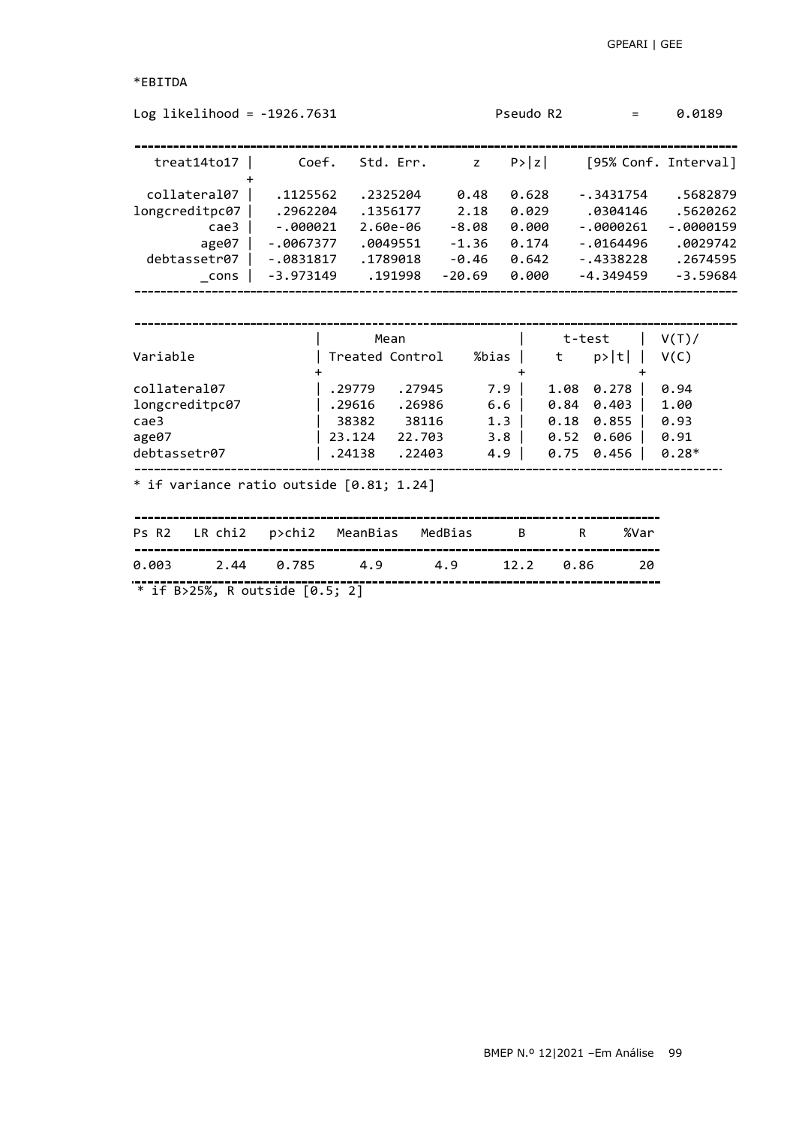```
*EBITDA
```

| Log likelihood = $-1926.7631$                                                |             |                                                                   |                                               |                                                       | Pseudo R2                                         |                                 | $=$                                  | 0.0189                                          |
|------------------------------------------------------------------------------|-------------|-------------------------------------------------------------------|-----------------------------------------------|-------------------------------------------------------|---------------------------------------------------|---------------------------------|--------------------------------------|-------------------------------------------------|
| treat14 to17                                                                 | Coef.       | Std. Err.                                                         |                                               | $\mathsf{Z}$                                          | P >  z                                            |                                 |                                      | [95% Conf. Interval]                            |
| collateral07                                                                 | .1125562    | .2325204                                                          |                                               | 0.48                                                  | 0.628                                             |                                 | $-.3431754$                          | .5682879                                        |
| longcreditpc07                                                               | .2962204    | .1356177                                                          |                                               | 2.18                                                  | 0.029                                             |                                 | .0304146                             | .5620262                                        |
| case3                                                                        | $-.000021$  | 2.60e-06                                                          |                                               | $-8.08$                                               | 0.000                                             |                                 | $-.0000261$                          | $-.0000159$                                     |
| age07                                                                        | $-.0067377$ | .0049551                                                          |                                               | $-1.36$                                               | 0.174                                             |                                 | $-0.0164496$                         | .0029742                                        |
| debtassetr07                                                                 | $-.0831817$ | .1789018                                                          |                                               | $-0.46$                                               | 0.642                                             | -.4338228                       |                                      | .2674595                                        |
| $\_cons$                                                                     | $-3.973149$ | .191998                                                           | $-20.69$                                      |                                                       | 0.000                                             |                                 | $-4.349459$                          | $-3.59684$                                      |
| Variable<br>collateral07<br>longcreditpc07<br>case3<br>age07<br>debtassetr07 |             | Treated Control<br>. 29779<br>.29616<br>38382<br>23.124<br>.24138 | .27945<br>.26986<br>38116<br>22.703<br>.22403 | %bias<br>7.9<br>6.6<br>1.3<br>3.8 <sub>1</sub><br>4.9 | $^{\dagger}$<br>$\ddot{}$<br>0.18<br>0.52<br>0.75 | 1.08<br>$0.84$ $0.403$<br>0.855 | p> t <br>$0.278$  <br>0.606<br>0.456 | V(C)<br>0.94<br>1.00<br>0.93<br>0.91<br>$0.28*$ |
| * if variance ratio outside $[0.81; 1.24]$<br>LR chi2<br>Ps R <sub>2</sub>   | p>chi2      | MeanBias                                                          | MedBias                                       |                                                       | B                                                 | R                               | %Var                                 |                                                 |
| 0.003<br>2.44                                                                | 0.785       | 4.9                                                               | 4.9                                           |                                                       | 12.2                                              | 0.86                            | 20                                   |                                                 |
| * if B>25%, R outside [0.5; 2]                                               |             |                                                                   |                                               |                                                       |                                                   |                                 |                                      |                                                 |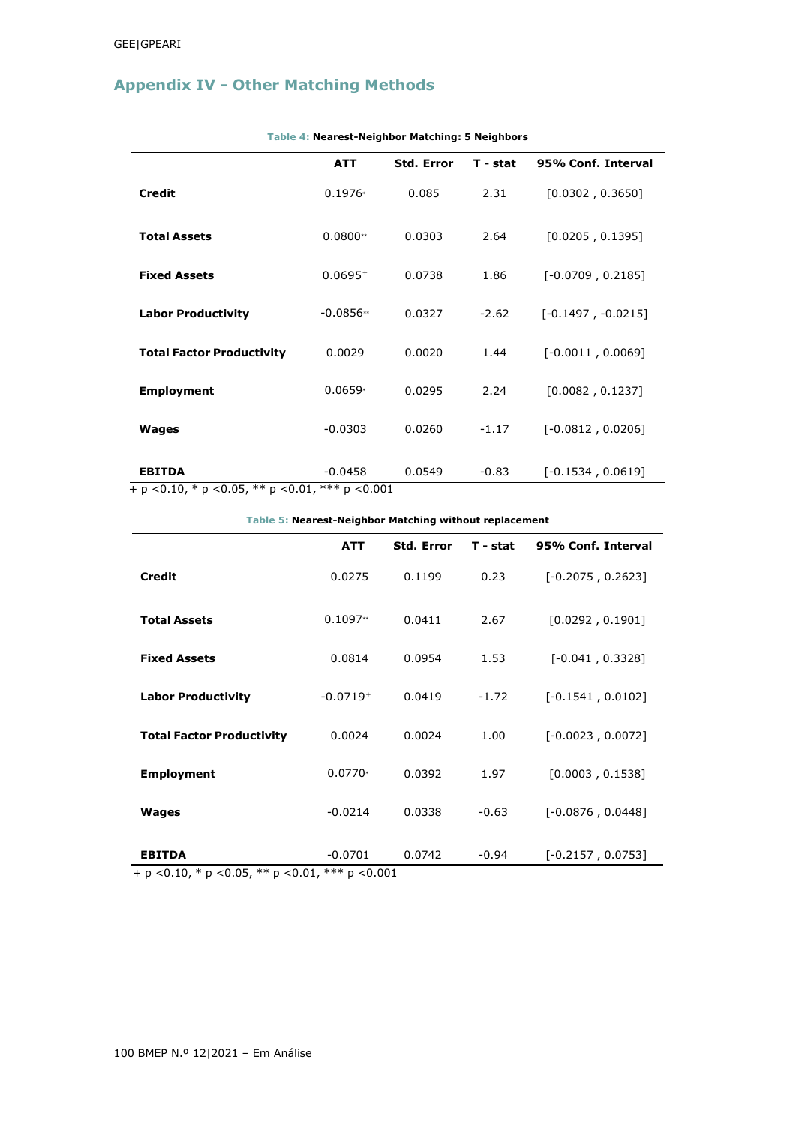# **Appendix IV - Other Matching Methods**

|                                                          | <b>ATT</b>                   | <b>Std. Error</b> | T - stat | 95% Conf. Interval   |  |  |  |  |
|----------------------------------------------------------|------------------------------|-------------------|----------|----------------------|--|--|--|--|
| <b>Credit</b>                                            | $0.1976*$                    | 0.085             | 2.31     | [0.0302, 0.3650]     |  |  |  |  |
| <b>Total Assets</b>                                      | $0.0800**$                   | 0.0303            | 2.64     | [0.0205, 0.1395]     |  |  |  |  |
| <b>Fixed Assets</b>                                      | $0.0695^{+}$                 | 0.0738            | 1.86     | $[-0.0709, 0.2185]$  |  |  |  |  |
| <b>Labor Productivity</b>                                | $-0.0856**$                  | 0.0327            | $-2.62$  | $[-0.1497, -0.0215]$ |  |  |  |  |
| <b>Total Factor Productivity</b>                         | 0.0029                       | 0.0020            | 1.44     | $[-0.0011, 0.0069]$  |  |  |  |  |
| <b>Employment</b>                                        | $0.0659*$                    | 0.0295            | 2.24     | [0.0082, 0.1237]     |  |  |  |  |
| Wages                                                    | $-0.0303$                    | 0.0260            | $-1.17$  | $[-0.0812, 0.0206]$  |  |  |  |  |
| <b>EBITDA</b><br>$+ n < 0.10$ * n $< 0.05$ ** n $< 0.01$ | $-0.0458$<br>$*** n < 0.001$ | 0.0549            | $-0.83$  | $[-0.1534, 0.0619]$  |  |  |  |  |

**Table 4: Nearest-Neighbor Matching: 5 Neighbors**

+ p *<*0.10, \* p *<*0.05, \*\* p *<*0.01, \*\*\* p *<*0.001

### **Table 5: Nearest-Neighbor Matching without replacement**

|                                                    | <b>ATT</b> | <b>Std. Error</b> | $T - stat$ | 95% Conf. Interval  |
|----------------------------------------------------|------------|-------------------|------------|---------------------|
| <b>Credit</b>                                      | 0.0275     | 0.1199            | 0.23       | $[-0.2075, 0.2623]$ |
| <b>Total Assets</b>                                | $0.1097**$ | 0.0411            | 2.67       | [0.0292, 0.1901]    |
| <b>Fixed Assets</b>                                | 0.0814     | 0.0954            | 1.53       | $[-0.041, 0.3328]$  |
| <b>Labor Productivity</b>                          | $-0.0719+$ | 0.0419            | $-1.72$    | $[-0.1541, 0.0102]$ |
| <b>Total Factor Productivity</b>                   | 0.0024     | 0.0024            | 1.00       | $[-0.0023, 0.0072]$ |
| <b>Employment</b>                                  | $0.0770*$  | 0.0392            | 1.97       | [0.0003, 0.1538]    |
| <b>Wages</b>                                       | $-0.0214$  | 0.0338            | $-0.63$    | $[-0.0876, 0.0448]$ |
| <b>EBITDA</b>                                      | $-0.0701$  | 0.0742            | $-0.94$    | $[-0.2157, 0.0753]$ |
| + p < 0.10, * p < 0.05, ** p < 0.01, *** p < 0.001 |            |                   |            |                     |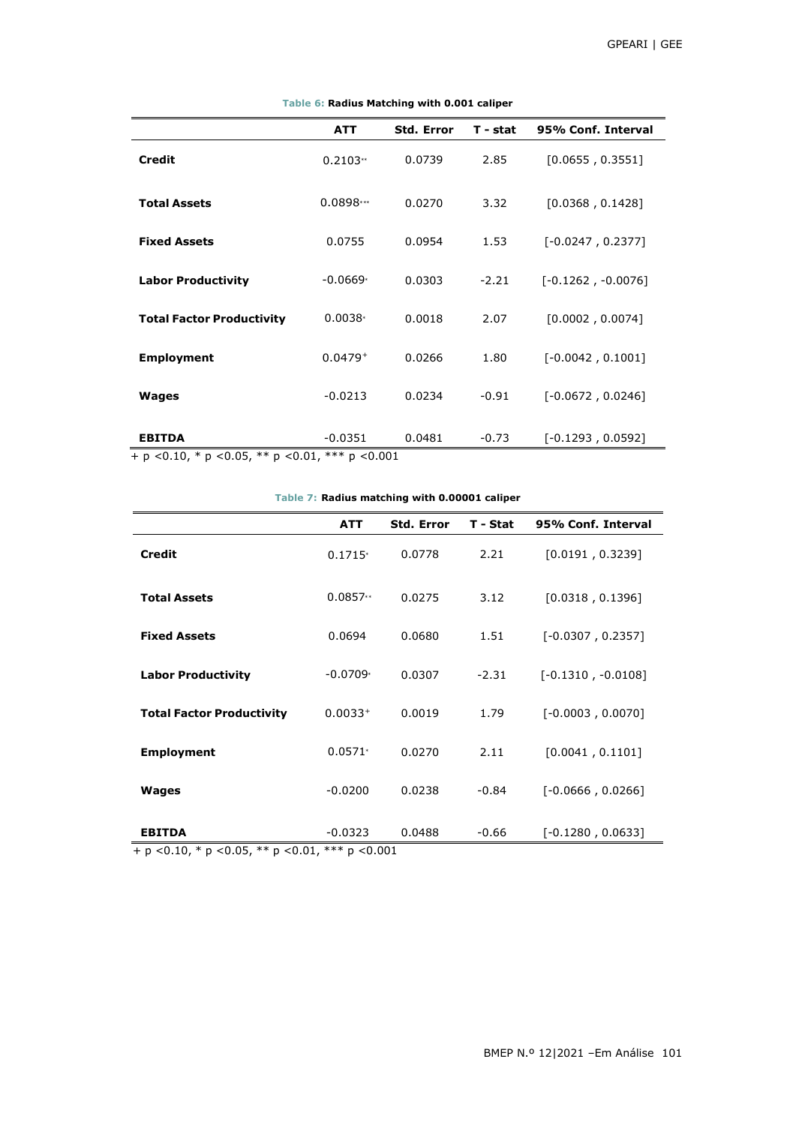|                                  | <b>ATT</b>  | <b>Std. Error</b> | T - stat | 95% Conf. Interval   |
|----------------------------------|-------------|-------------------|----------|----------------------|
| <b>Credit</b>                    | $0.2103**$  | 0.0739            | 2.85     | [0.0655, 0.3551]     |
| <b>Total Assets</b>              | $0.0898***$ | 0.0270            | 3.32     | [0.0368, 0.1428]     |
| <b>Fixed Assets</b>              | 0.0755      | 0.0954            | 1.53     | $[-0.0247, 0.2377]$  |
| <b>Labor Productivity</b>        | $-0.0669*$  | 0.0303            | $-2.21$  | $[-0.1262, -0.0076]$ |
| <b>Total Factor Productivity</b> | $0.0038*$   | 0.0018            | 2.07     | [0.0002, 0.0074]     |
| <b>Employment</b>                | $0.0479 +$  | 0.0266            | 1.80     | $[-0.0042, 0.1001]$  |
| Wages                            | $-0.0213$   | 0.0234            | $-0.91$  | $[-0.0672, 0.0246]$  |
| <b>EBITDA</b>                    | $-0.0351$   | 0.0481            | $-0.73$  | $[-0.1293, 0.0592]$  |

### **Table 6: Radius Matching with 0.001 caliper**

**Table 7: Radius matching with 0.00001 caliper**

| Table 7. Radius mateming with 0.00001 camper |            |                   |          |                      |  |  |  |
|----------------------------------------------|------------|-------------------|----------|----------------------|--|--|--|
|                                              | <b>ATT</b> | <b>Std. Error</b> | T - Stat | 95% Conf. Interval   |  |  |  |
| <b>Credit</b>                                | $0.1715*$  | 0.0778            | 2.21     | [0.0191, 0.3239]     |  |  |  |
| <b>Total Assets</b>                          | $0.0857**$ | 0.0275            | 3.12     | [0.0318, 0.1396]     |  |  |  |
| <b>Fixed Assets</b>                          | 0.0694     | 0.0680            | 1.51     | $[-0.0307, 0.2357]$  |  |  |  |
| <b>Labor Productivity</b>                    | $-0.0709*$ | 0.0307            | $-2.31$  | $[-0.1310, -0.0108]$ |  |  |  |
| <b>Total Factor Productivity</b>             | $0.0033+$  | 0.0019            | 1.79     | $[-0.0003, 0.0070]$  |  |  |  |
| <b>Employment</b>                            | $0.0571*$  | 0.0270            | 2.11     | [0.0041, 0.1101]     |  |  |  |
| Wages                                        | $-0.0200$  | 0.0238            | $-0.84$  | $[-0.0666, 0.0266]$  |  |  |  |
| <b>EBITDA</b>                                | $-0.0323$  | 0.0488            | $-0.66$  | $[-0.1280, 0.0633]$  |  |  |  |

+ p *<*0.10, \* p *<*0.05, \*\* p *<*0.01, \*\*\* p *<*0.001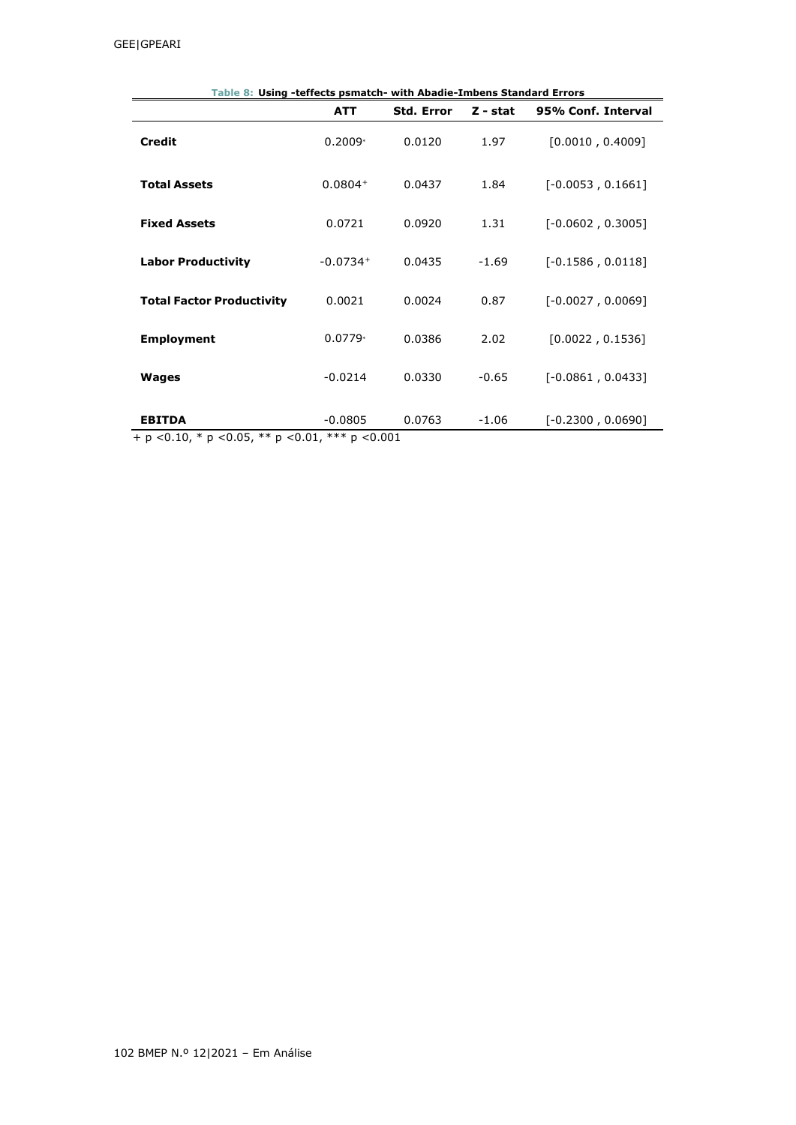|                                  | Table 8: Using -teffects psmatch- with Abadie-Imbens Standard Errors |                   |            |                     |  |  |  |  |  |
|----------------------------------|----------------------------------------------------------------------|-------------------|------------|---------------------|--|--|--|--|--|
|                                  | <b>ATT</b>                                                           | <b>Std. Error</b> | $Z - stat$ | 95% Conf. Interval  |  |  |  |  |  |
| <b>Credit</b>                    | $0.2009*$                                                            | 0.0120            | 1.97       | [0.0010, 0.4009]    |  |  |  |  |  |
| <b>Total Assets</b>              | $0.0804+$                                                            | 0.0437            | 1.84       | $[-0.0053, 0.1661]$ |  |  |  |  |  |
| <b>Fixed Assets</b>              | 0.0721                                                               | 0.0920            | 1.31       | $[-0.0602, 0.3005]$ |  |  |  |  |  |
| <b>Labor Productivity</b>        | $-0.0734+$                                                           | 0.0435            | $-1.69$    | $[-0.1586, 0.0118]$ |  |  |  |  |  |
| <b>Total Factor Productivity</b> | 0.0021                                                               | 0.0024            | 0.87       | $[-0.0027, 0.0069]$ |  |  |  |  |  |
| <b>Employment</b>                | $0.0779*$                                                            | 0.0386            | 2.02       | [0.0022, 0.1536]    |  |  |  |  |  |
| <b>Wages</b>                     | $-0.0214$                                                            | 0.0330            | $-0.65$    | $[-0.0861, 0.0433]$ |  |  |  |  |  |
| <b>EBITDA</b>                    | $-0.0805$                                                            | 0.0763            | $-1.06$    | $[-0.2300, 0.0690]$ |  |  |  |  |  |

+ p *<*0.10, \* p *<*0.05, \*\* p *<*0.01, \*\*\* p *<*0.001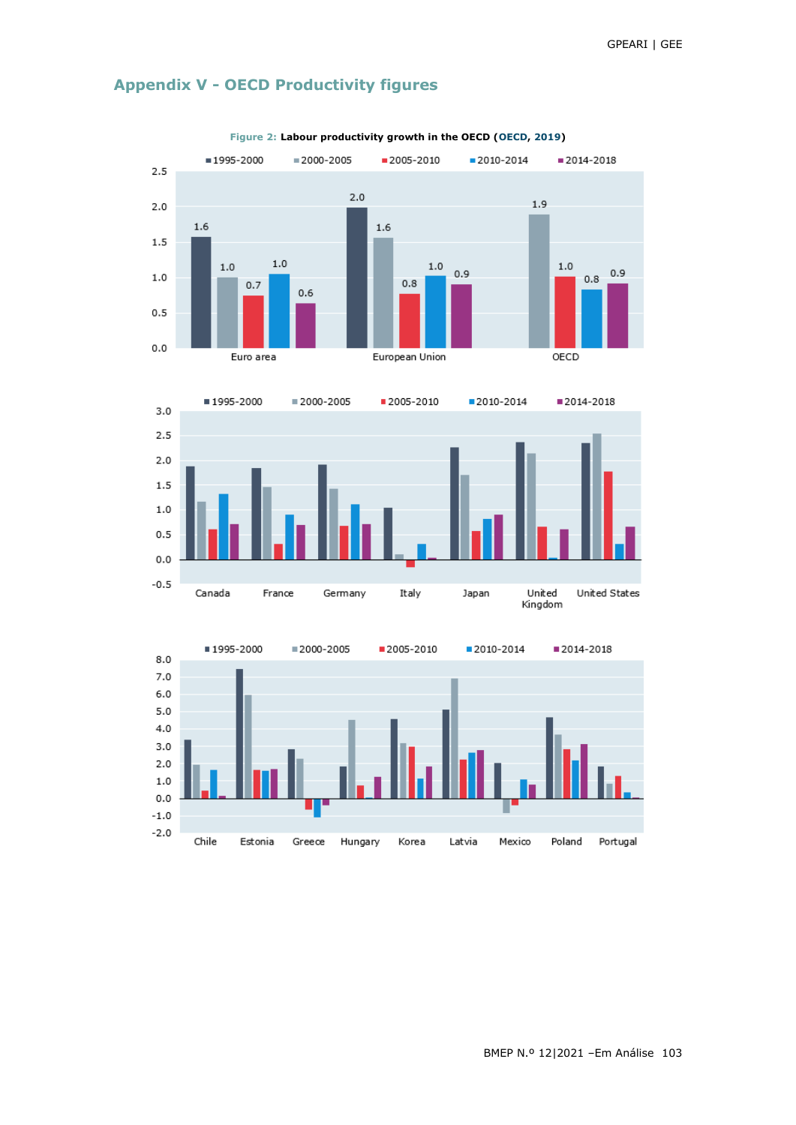

# **Appendix V - OECD Productivity figures**





BMEP N.º 12|2021 –Em Análise 103